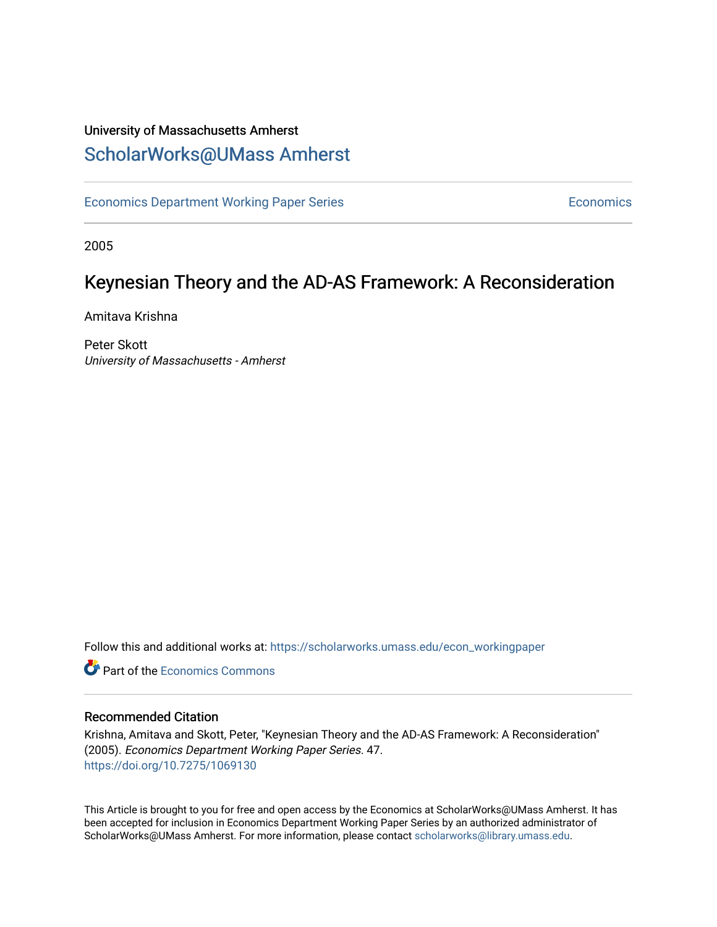# University of Massachusetts Amherst [ScholarWorks@UMass Amherst](https://scholarworks.umass.edu/)

[Economics Department Working Paper Series](https://scholarworks.umass.edu/econ_workingpaper) **Economics** Economics

2005

# Keynesian Theory and the AD-AS Framework: A Reconsideration

Amitava Krishna

Peter Skott University of Massachusetts - Amherst

Follow this and additional works at: [https://scholarworks.umass.edu/econ\\_workingpaper](https://scholarworks.umass.edu/econ_workingpaper?utm_source=scholarworks.umass.edu%2Fecon_workingpaper%2F47&utm_medium=PDF&utm_campaign=PDFCoverPages) 

**C** Part of the [Economics Commons](http://network.bepress.com/hgg/discipline/340?utm_source=scholarworks.umass.edu%2Fecon_workingpaper%2F47&utm_medium=PDF&utm_campaign=PDFCoverPages)

#### Recommended Citation

Krishna, Amitava and Skott, Peter, "Keynesian Theory and the AD-AS Framework: A Reconsideration" (2005). Economics Department Working Paper Series. 47. <https://doi.org/10.7275/1069130>

This Article is brought to you for free and open access by the Economics at ScholarWorks@UMass Amherst. It has been accepted for inclusion in Economics Department Working Paper Series by an authorized administrator of ScholarWorks@UMass Amherst. For more information, please contact [scholarworks@library.umass.edu.](mailto:scholarworks@library.umass.edu)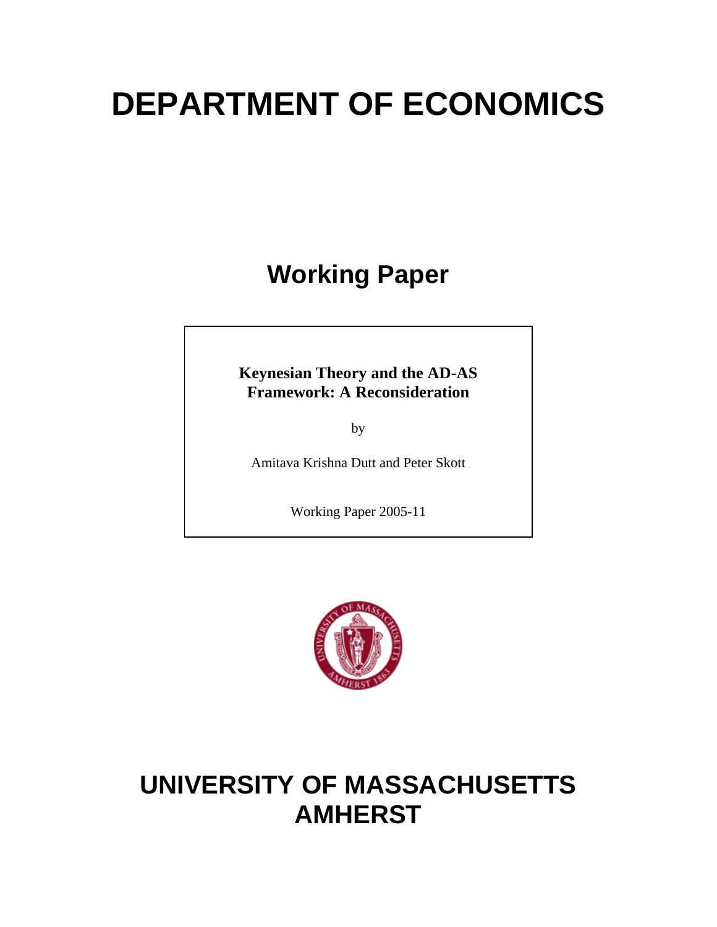# **DEPARTMENT OF ECONOMICS**

# **Working Paper**

**Keynesian Theory and the AD-AS Framework: A Reconsideration** 

by

Amitava Krishna Dutt and Peter Skott

Working Paper 2005-11



# **UNIVERSITY OF MASSACHUSETTS AMHERST**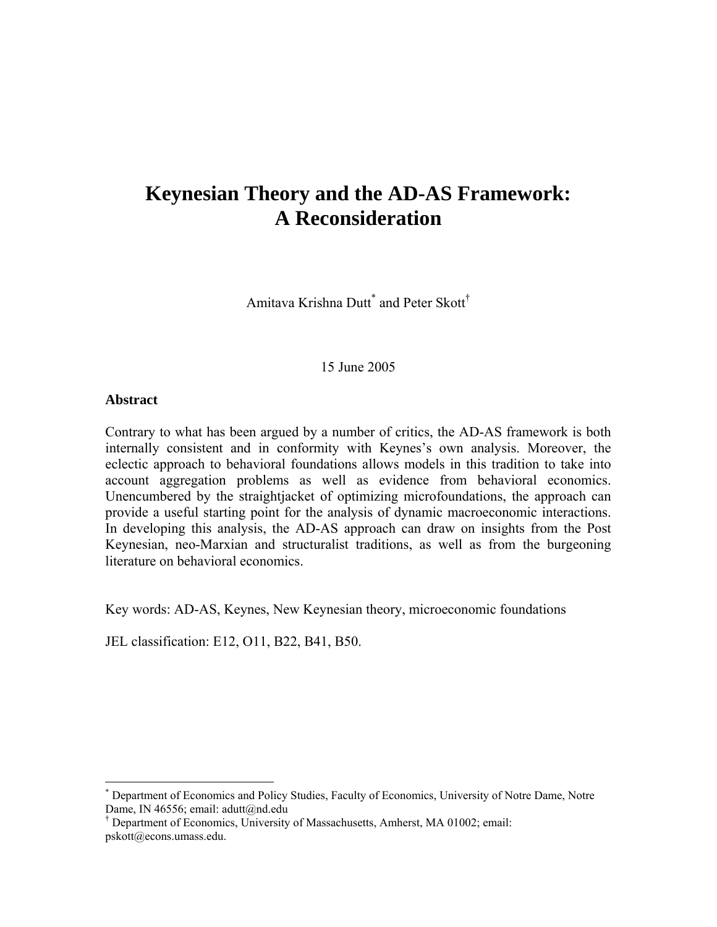# **Keynesian Theory and the AD-AS Framework: A Reconsideration**

Amitava Krishna Dutt<sup>\*</sup> and Peter Skott<sup>[†](#page-2-1)</sup>

15 June 2005

#### **Abstract**

 $\overline{a}$ 

Contrary to what has been argued by a number of critics, the AD-AS framework is both internally consistent and in conformity with Keynes's own analysis. Moreover, the eclectic approach to behavioral foundations allows models in this tradition to take into account aggregation problems as well as evidence from behavioral economics. Unencumbered by the straightjacket of optimizing microfoundations, the approach can provide a useful starting point for the analysis of dynamic macroeconomic interactions. In developing this analysis, the AD-AS approach can draw on insights from the Post Keynesian, neo-Marxian and structuralist traditions, as well as from the burgeoning literature on behavioral economics.

Key words: AD-AS, Keynes, New Keynesian theory, microeconomic foundations

JEL classification: E12, O11, B22, B41, B50.

<span id="page-2-0"></span><sup>\*</sup> Department of Economics and Policy Studies, Faculty of Economics, University of Notre Dame, Notre Dame, IN 46556; email: adutt@nd.edu

<span id="page-2-1"></span><sup>†</sup> Department of Economics, University of Massachusetts, Amherst, MA 01002; email: pskott@econs.umass.edu.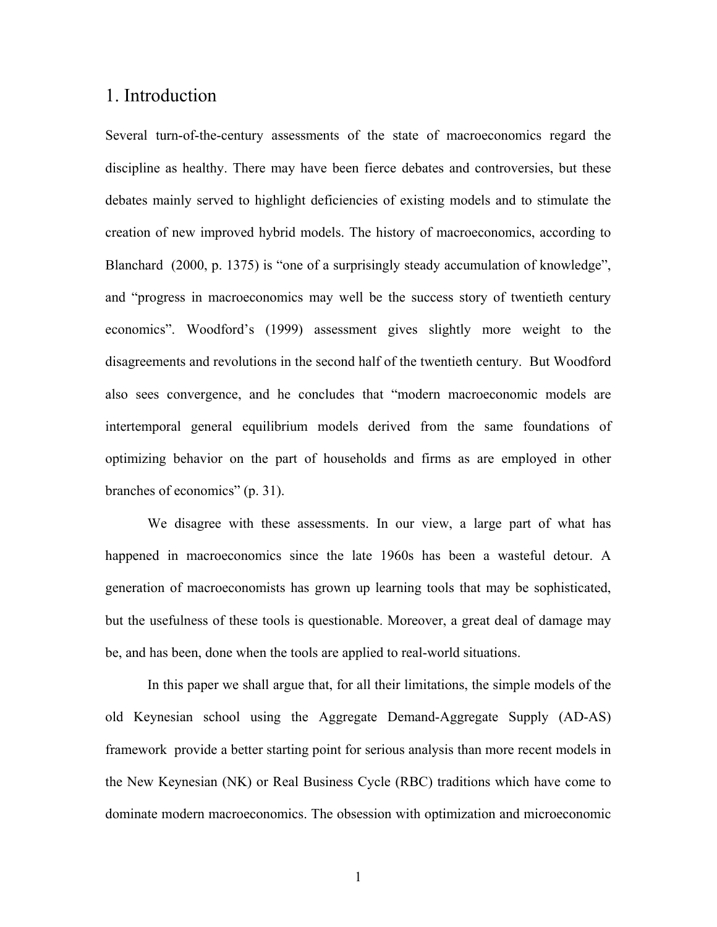# 1. Introduction

Several turn-of-the-century assessments of the state of macroeconomics regard the discipline as healthy. There may have been fierce debates and controversies, but these debates mainly served to highlight deficiencies of existing models and to stimulate the creation of new improved hybrid models. The history of macroeconomics, according to Blanchard (2000, p. 1375) is "one of a surprisingly steady accumulation of knowledge", and "progress in macroeconomics may well be the success story of twentieth century economics". Woodford's (1999) assessment gives slightly more weight to the disagreements and revolutions in the second half of the twentieth century. But Woodford also sees convergence, and he concludes that "modern macroeconomic models are intertemporal general equilibrium models derived from the same foundations of optimizing behavior on the part of households and firms as are employed in other branches of economics" (p. 31).

We disagree with these assessments. In our view, a large part of what has happened in macroeconomics since the late 1960s has been a wasteful detour. A generation of macroeconomists has grown up learning tools that may be sophisticated, but the usefulness of these tools is questionable. Moreover, a great deal of damage may be, and has been, done when the tools are applied to real-world situations.

In this paper we shall argue that, for all their limitations, the simple models of the old Keynesian school using the Aggregate Demand-Aggregate Supply (AD-AS) framework provide a better starting point for serious analysis than more recent models in the New Keynesian (NK) or Real Business Cycle (RBC) traditions which have come to dominate modern macroeconomics. The obsession with optimization and microeconomic

1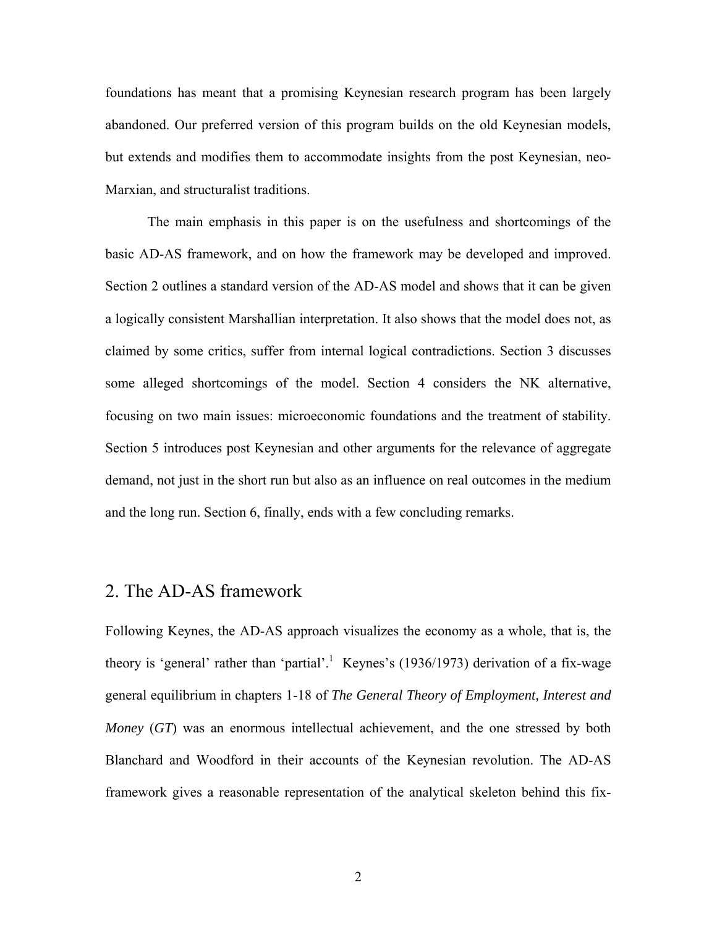foundations has meant that a promising Keynesian research program has been largely abandoned. Our preferred version of this program builds on the old Keynesian models, but extends and modifies them to accommodate insights from the post Keynesian, neo-Marxian, and structuralist traditions.

The main emphasis in this paper is on the usefulness and shortcomings of the basic AD-AS framework, and on how the framework may be developed and improved. Section 2 outlines a standard version of the AD-AS model and shows that it can be given a logically consistent Marshallian interpretation. It also shows that the model does not, as claimed by some critics, suffer from internal logical contradictions. Section 3 discusses some alleged shortcomings of the model. Section 4 considers the NK alternative, focusing on two main issues: microeconomic foundations and the treatment of stability. Section 5 introduces post Keynesian and other arguments for the relevance of aggregate demand, not just in the short run but also as an influence on real outcomes in the medium and the long run. Section 6, finally, ends with a few concluding remarks.

# 2. The AD-AS framework

Following Keynes, the AD-AS approach visualizes the economy as a whole, that is, the theory is 'general' rather than 'partial'.<sup>1</sup> Keynes's (1936/1973) derivation of a fix-wage general equilibrium in chapters 1-18 of *The General Theory of Employment, Interest and Money* (*GT*) was an enormous intellectual achievement, and the one stressed by both Blanchard and Woodford in their accounts of the Keynesian revolution. The AD-AS framework gives a reasonable representation of the analytical skeleton behind this fix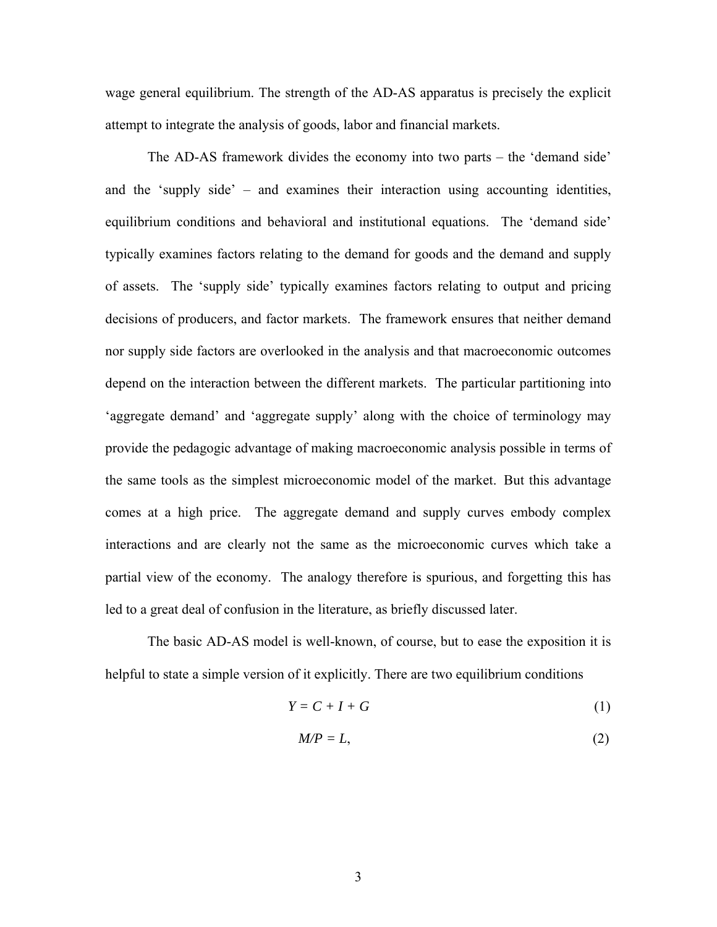wage general equilibrium. The strength of the AD-AS apparatus is precisely the explicit attempt to integrate the analysis of goods, labor and financial markets.

The AD-AS framework divides the economy into two parts – the 'demand side' and the 'supply side' – and examines their interaction using accounting identities, equilibrium conditions and behavioral and institutional equations. The 'demand side' typically examines factors relating to the demand for goods and the demand and supply of assets. The 'supply side' typically examines factors relating to output and pricing decisions of producers, and factor markets. The framework ensures that neither demand nor supply side factors are overlooked in the analysis and that macroeconomic outcomes depend on the interaction between the different markets. The particular partitioning into 'aggregate demand' and 'aggregate supply' along with the choice of terminology may provide the pedagogic advantage of making macroeconomic analysis possible in terms of the same tools as the simplest microeconomic model of the market. But this advantage comes at a high price. The aggregate demand and supply curves embody complex interactions and are clearly not the same as the microeconomic curves which take a partial view of the economy. The analogy therefore is spurious, and forgetting this has led to a great deal of confusion in the literature, as briefly discussed later.

The basic AD-AS model is well-known, of course, but to ease the exposition it is helpful to state a simple version of it explicitly. There are two equilibrium conditions

$$
Y = C + I + G \tag{1}
$$

$$
M/P = L,\tag{2}
$$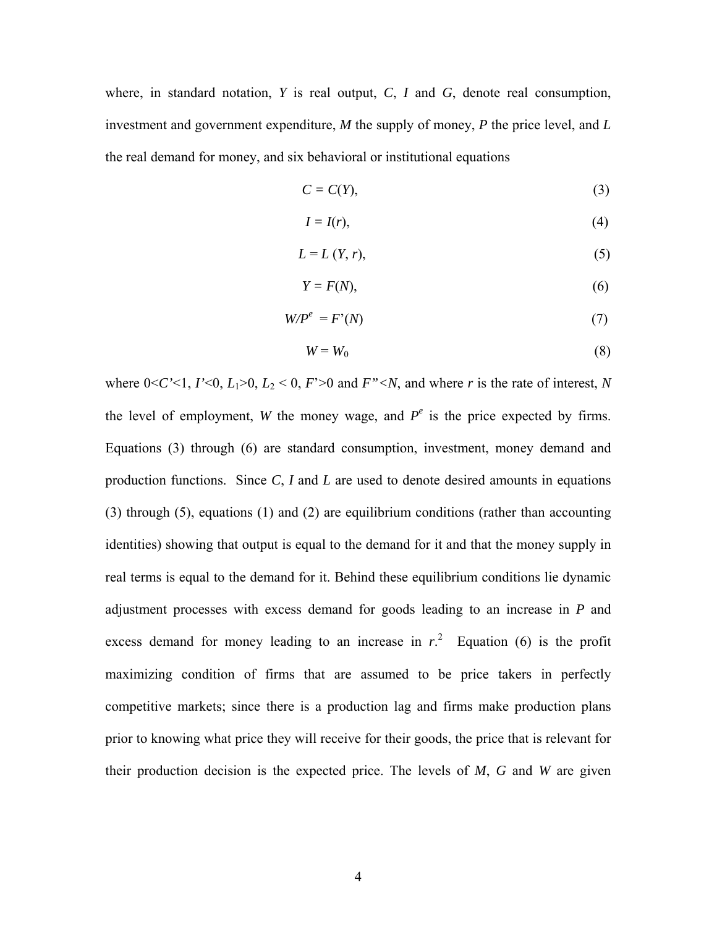where, in standard notation, *Y* is real output, *C*, *I* and *G*, denote real consumption, investment and government expenditure, *M* the supply of money, *P* the price level, and *L* the real demand for money, and six behavioral or institutional equations

$$
C = C(Y), \tag{3}
$$

$$
I = I(r),\tag{4}
$$

$$
L = L(Y, r),\tag{5}
$$

$$
Y = F(N),\tag{6}
$$

$$
W/P^e = F'(N) \tag{7}
$$

$$
W = W_0 \tag{8}
$$

where  $0 < C' < 1$ ,  $I' < 0$ ,  $L_1 > 0$ ,  $L_2 < 0$ ,  $F' > 0$  and  $F'' < N$ , and where *r* is the rate of interest, *N* the level of employment, *W* the money wage, and  $P^e$  is the price expected by firms. Equations (3) through (6) are standard consumption, investment, money demand and production functions. Since *C*, *I* and *L* are used to denote desired amounts in equations (3) through (5), equations (1) and (2) are equilibrium conditions (rather than accounting identities) showing that output is equal to the demand for it and that the money supply in real terms is equal to the demand for it. Behind these equilibrium conditions lie dynamic adjustment processes with excess demand for goods leading to an increase in *P* and excessdemand for money leading to an increase in  $r<sup>2</sup>$ . Equation (6) is the profit maximizing condition of firms that are assumed to be price takers in perfectly competitive markets; since there is a production lag and firms make production plans prior to knowing what price they will receive for their goods, the price that is relevant for their production decision is the expected price. The levels of *M*, *G* and *W* are given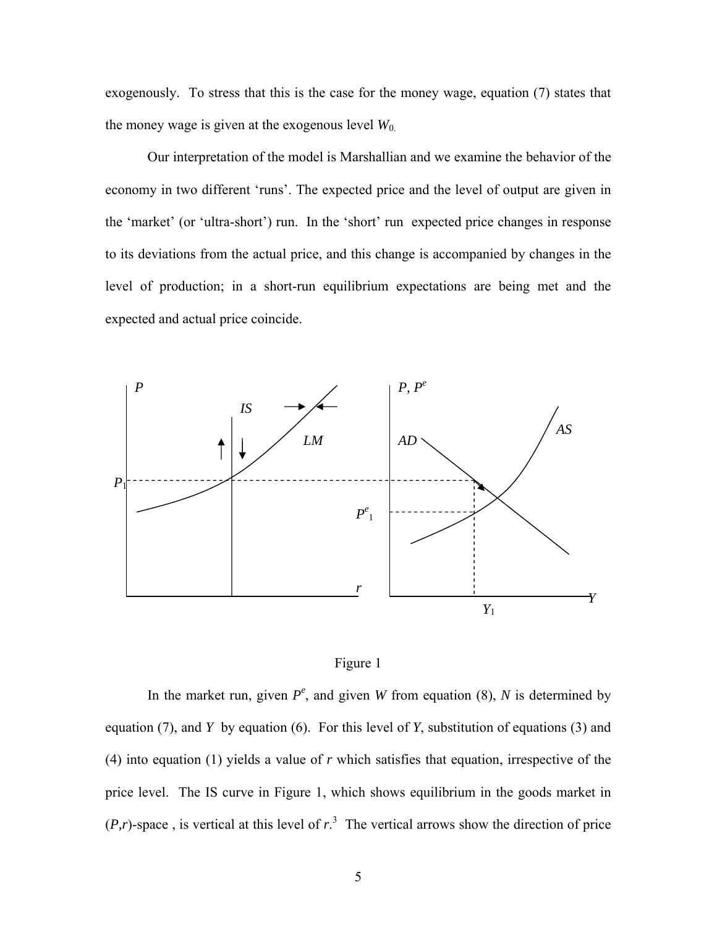exogenously. To stress that this is the case for the money wage, equation (7) states that the money wage is given at the exogenous level  $W_0$ .

Our interpretation of the model is Marshallian and we examine the behavior of the economy in two different 'runs'. The expected price and the level of output are given in the 'market' (or 'ultra-short') run. In the 'short' run expected price changes in response to its deviations from the actual price, and this change is accompanied by changes in the level of production; in a short-run equilibrium expectations are being met and the expected and actual price coincide.





In the market run, given  $P^e$ , and given *W* from equation (8), *N* is determined by equation (7), and *Y* by equation (6). For this level of *Y*, substitution of equations (3) and (4) into equation (1) yields a value of *r* which satisfies that equation, irrespective of the price level. The IS curve in Figure 1, which shows equilibrium in the goods market in  $(P, r)$  $(P, r)$  $(P, r)$ -space, is vertical at this level of  $r<sup>3</sup>$ . The vertical arrows show the direction of price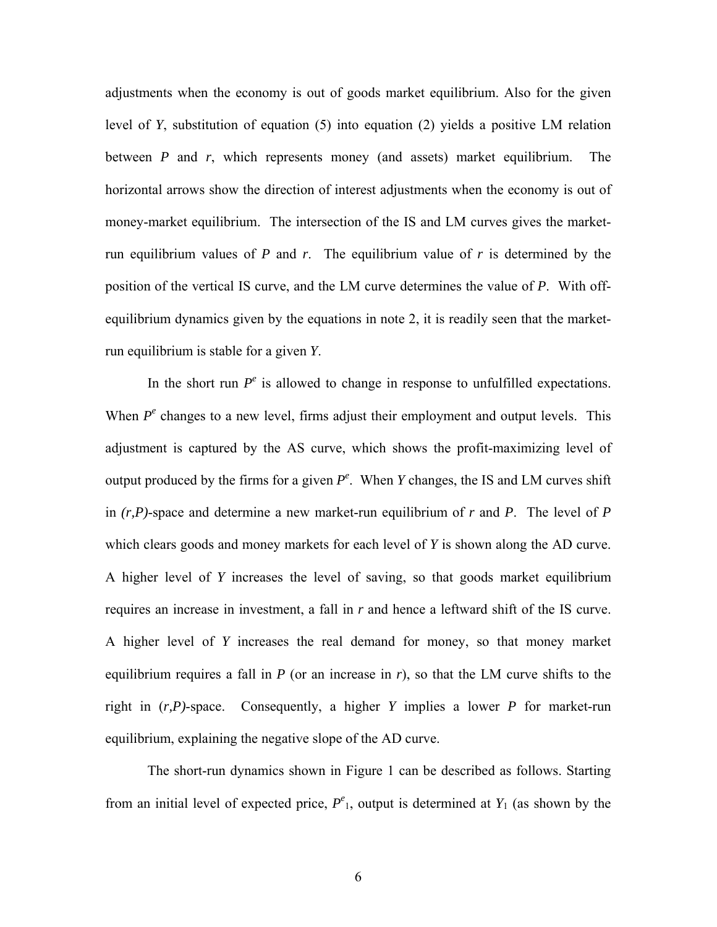adjustments when the economy is out of goods market equilibrium. Also for the given level of *Y*, substitution of equation (5) into equation (2) yields a positive LM relation between *P* and *r*, which represents money (and assets) market equilibrium. The horizontal arrows show the direction of interest adjustments when the economy is out of money-market equilibrium. The intersection of the IS and LM curves gives the marketrun equilibrium values of *P* and *r*. The equilibrium value of *r* is determined by the position of the vertical IS curve, and the LM curve determines the value of *P*. With offequilibrium dynamics given by the equations in note 2, it is readily seen that the marketrun equilibrium is stable for a given *Y*.

In the short run  $P^e$  is allowed to change in response to unfulfilled expectations. When  $P^e$  changes to a new level, firms adjust their employment and output levels. This adjustment is captured by the AS curve, which shows the profit-maximizing level of output produced by the firms for a given  $P^e$ . When *Y* changes, the IS and LM curves shift in  $(r, P)$ -space and determine a new market-run equilibrium of r and P. The level of P which clears goods and money markets for each level of *Y* is shown along the AD curve. A higher level of *Y* increases the level of saving, so that goods market equilibrium requires an increase in investment, a fall in *r* and hence a leftward shift of the IS curve. A higher level of *Y* increases the real demand for money, so that money market equilibrium requires a fall in *P* (or an increase in *r*), so that the LM curve shifts to the right in (*r,P)*-space. Consequently, a higher *Y* implies a lower *P* for market-run equilibrium, explaining the negative slope of the AD curve.

The short-run dynamics shown in Figure 1 can be described as follows. Starting from an initial level of expected price,  $P^e_1$ , output is determined at  $Y_1$  (as shown by the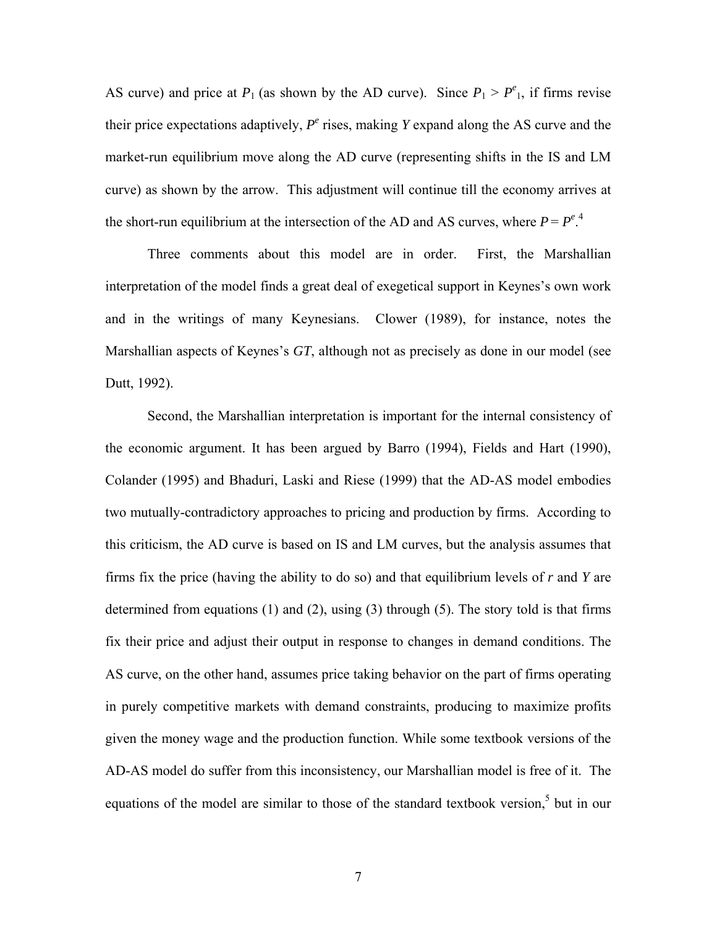AS curve) and price at  $P_1$  (as shown by the AD curve). Since  $P_1 > P_{1}^e$ , if firms revise their price expectations adaptively,  $P^e$  rises, making  $Y$  expand along the AS curve and the market-run equilibrium move along the AD curve (representing shifts in the IS and LM curve) as shown by the arrow. This adjustment will continue till the economy arrives at the short-run equilibrium at the intersection of the AD and AS curves, where  $P = P^e$ .

Three comments about this model are in order. First, the Marshallian interpretation of the model finds a great deal of exegetical support in Keynes's own work and in the writings of many Keynesians. Clower (1989), for instance, notes the Marshallian aspects of Keynes's *GT*, although not as precisely as done in our model (see Dutt, 1992).

Second, the Marshallian interpretation is important for the internal consistency of the economic argument. It has been argued by Barro (1994), Fields and Hart (1990), Colander (1995) and Bhaduri, Laski and Riese (1999) that the AD-AS model embodies two mutually-contradictory approaches to pricing and production by firms. According to this criticism, the AD curve is based on IS and LM curves, but the analysis assumes that firms fix the price (having the ability to do so) and that equilibrium levels of *r* and *Y* are determined from equations (1) and (2), using (3) through (5). The story told is that firms fix their price and adjust their output in response to changes in demand conditions. The AS curve, on the other hand, assumes price taking behavior on the part of firms operating in purely competitive markets with demand constraints, producing to maximize profits given the money wage and the production function. While some textbook versions of the AD-AS model do suffer from this inconsistency, our Marshallian model is free of it. The equations of the model are similar to those of the standard textbook version,<sup>[5](#page-37-4)</sup> but in our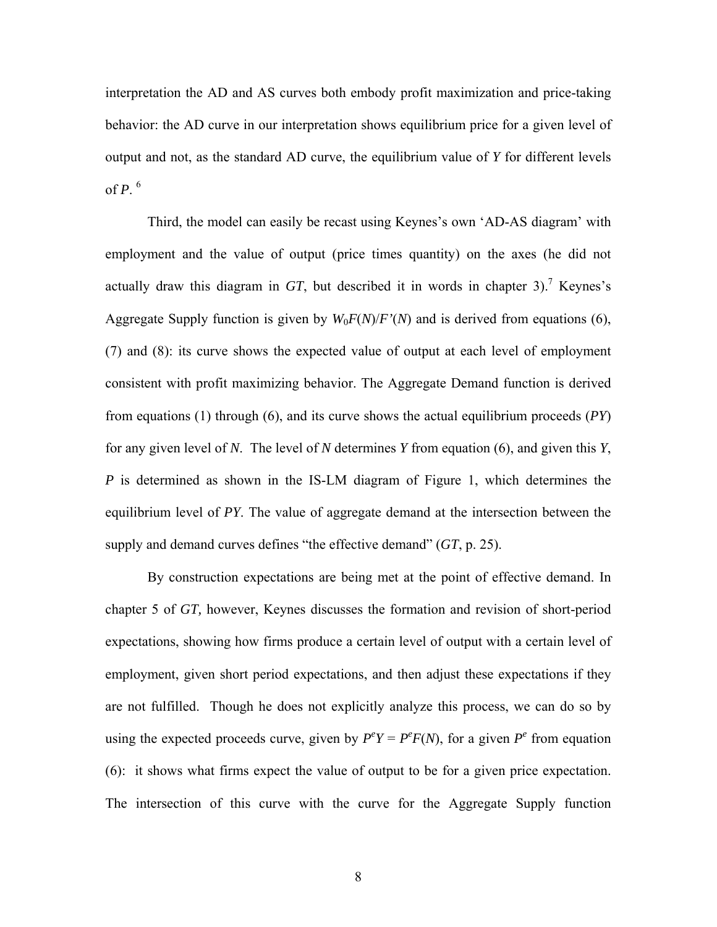interpretation the AD and AS curves both embody profit maximization and price-taking behavior: the AD curve in our interpretation shows equilibrium price for a given level of output and not, as the standard AD curve, the equilibrium value of *Y* for different levels of  $P<sup>6</sup>$  $P<sup>6</sup>$  $P<sup>6</sup>$ .

Third, the model can easily be recast using Keynes's own 'AD-AS diagram' with employment and the value of output (price times quantity) on the axes (he did not actually draw this diagram in  $GT$ , but described it in words in chapter 3).<sup>7</sup> Keynes's Aggregate Supply function is given by  $W_0F(N)/F'(N)$  and is derived from equations (6), (7) and (8): its curve shows the expected value of output at each level of employment consistent with profit maximizing behavior. The Aggregate Demand function is derived from equations (1) through (6), and its curve shows the actual equilibrium proceeds (*PY*) for any given level of *N*. The level of *N* determines *Y* from equation (6), and given this *Y*, *P* is determined as shown in the IS-LM diagram of Figure 1, which determines the equilibrium level of *PY*. The value of aggregate demand at the intersection between the supply and demand curves defines "the effective demand" (*GT*, p. 25).

By construction expectations are being met at the point of effective demand. In chapter 5 of *GT,* however, Keynes discusses the formation and revision of short-period expectations, showing how firms produce a certain level of output with a certain level of employment, given short period expectations, and then adjust these expectations if they are not fulfilled. Though he does not explicitly analyze this process, we can do so by using the expected proceeds curve, given by  $P^eY = P^eF(N)$ , for a given  $P^e$  from equation (6): it shows what firms expect the value of output to be for a given price expectation. The intersection of this curve with the curve for the Aggregate Supply function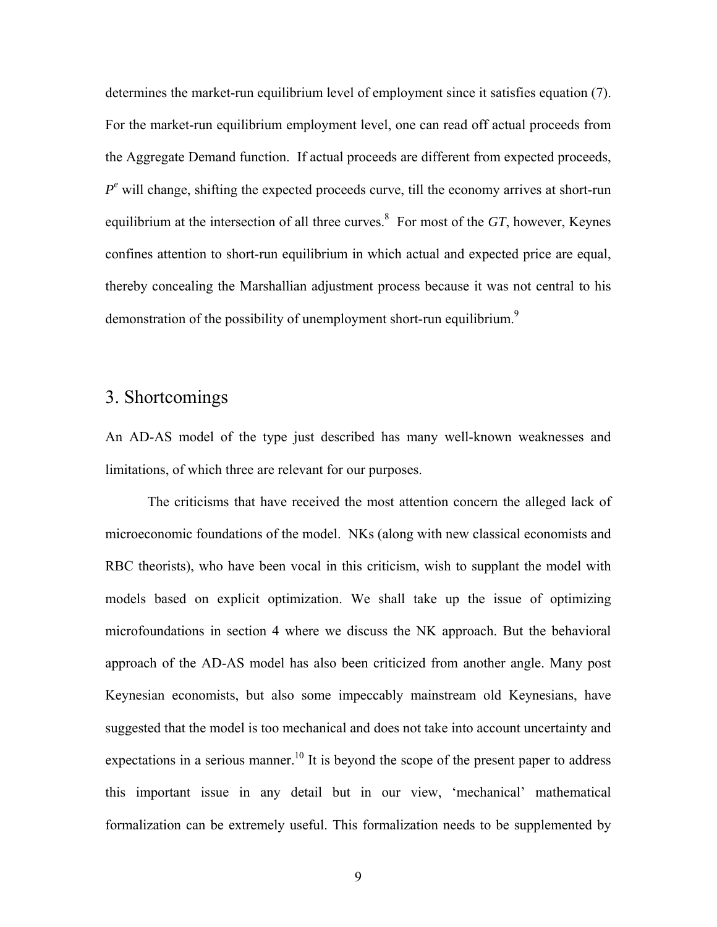determines the market-run equilibrium level of employment since it satisfies equation (7). For the market-run equilibrium employment level, one can read off actual proceeds from the Aggregate Demand function. If actual proceeds are different from expected proceeds,  $P^e$  will change, shifting the expected proceeds curve, till the economy arrives at short-run equilibrium at the intersection of all three curves. [8](#page-37-7) For most of the *GT*, however, Keynes confines attention to short-run equilibrium in which actual and expected price are equal, thereby concealing the Marshallian adjustment process because it was not central to his demonstrationof the possibility of unemployment short-run equilibrium.<sup>9</sup>

# 3. Shortcomings

An AD-AS model of the type just described has many well-known weaknesses and limitations, of which three are relevant for our purposes.

The criticisms that have received the most attention concern the alleged lack of microeconomic foundations of the model. NKs (along with new classical economists and RBC theorists), who have been vocal in this criticism, wish to supplant the model with models based on explicit optimization. We shall take up the issue of optimizing microfoundations in section 4 where we discuss the NK approach. But the behavioral approach of the AD-AS model has also been criticized from another angle. Many post Keynesian economists, but also some impeccably mainstream old Keynesians, have suggested that the model is too mechanical and does not take into account uncertainty and expectations in a serious manner.<sup>10</sup> It is beyond the scope of the present paper to address this important issue in any detail but in our view, 'mechanical' mathematical formalization can be extremely useful. This formalization needs to be supplemented by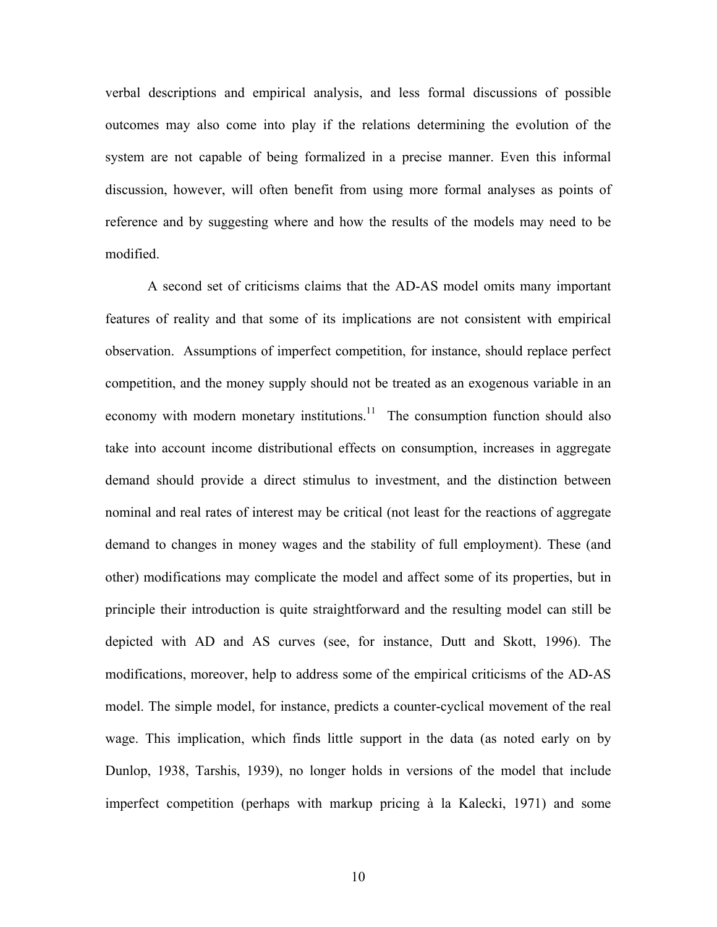verbal descriptions and empirical analysis, and less formal discussions of possible outcomes may also come into play if the relations determining the evolution of the system are not capable of being formalized in a precise manner. Even this informal discussion, however, will often benefit from using more formal analyses as points of reference and by suggesting where and how the results of the models may need to be modified.

A second set of criticisms claims that the AD-AS model omits many important features of reality and that some of its implications are not consistent with empirical observation. Assumptions of imperfect competition, for instance, should replace perfect competition, and the money supply should not be treated as an exogenous variable in an economy with modern monetary institutions.<sup>11</sup> The consumption function should also take into account income distributional effects on consumption, increases in aggregate demand should provide a direct stimulus to investment, and the distinction between nominal and real rates of interest may be critical (not least for the reactions of aggregate demand to changes in money wages and the stability of full employment). These (and other) modifications may complicate the model and affect some of its properties, but in principle their introduction is quite straightforward and the resulting model can still be depicted with AD and AS curves (see, for instance, Dutt and Skott, 1996). The modifications, moreover, help to address some of the empirical criticisms of the AD-AS model. The simple model, for instance, predicts a counter-cyclical movement of the real wage. This implication, which finds little support in the data (as noted early on by Dunlop, 1938, Tarshis, 1939), no longer holds in versions of the model that include imperfect competition (perhaps with markup pricing à la Kalecki, 1971) and some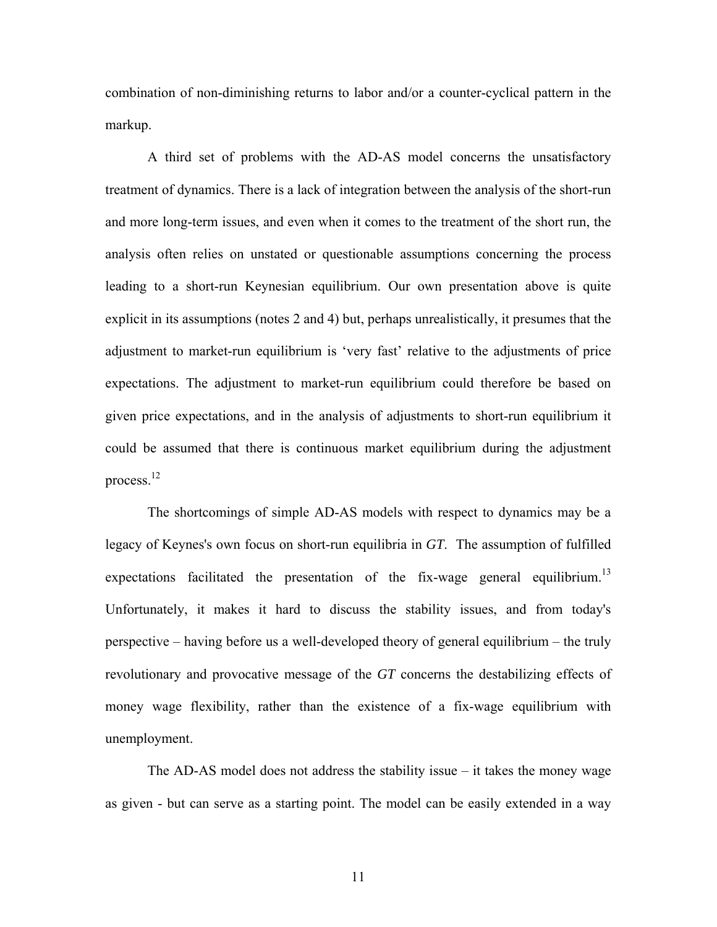combination of non-diminishing returns to labor and/or a counter-cyclical pattern in the markup.

A third set of problems with the AD-AS model concerns the unsatisfactory treatment of dynamics. There is a lack of integration between the analysis of the short-run and more long-term issues, and even when it comes to the treatment of the short run, the analysis often relies on unstated or questionable assumptions concerning the process leading to a short-run Keynesian equilibrium. Our own presentation above is quite explicit in its assumptions (notes 2 and 4) but, perhaps unrealistically, it presumes that the adjustment to market-run equilibrium is 'very fast' relative to the adjustments of price expectations. The adjustment to market-run equilibrium could therefore be based on given price expectations, and in the analysis of adjustments to short-run equilibrium it could be assumed that there is continuous market equilibrium during the adjustment process[.12](#page-37-11) 

The shortcomings of simple AD-AS models with respect to dynamics may be a legacy of Keynes's own focus on short-run equilibria in *GT*. The assumption of fulfilled expectations facilitated the presentation of the fix-wage general equilibrium.<sup>13</sup> Unfortunately, it makes it hard to discuss the stability issues, and from today's perspective – having before us a well-developed theory of general equilibrium – the truly revolutionary and provocative message of the *GT* concerns the destabilizing effects of money wage flexibility, rather than the existence of a fix-wage equilibrium with unemployment.

The AD-AS model does not address the stability issue – it takes the money wage as given - but can serve as a starting point. The model can be easily extended in a way

11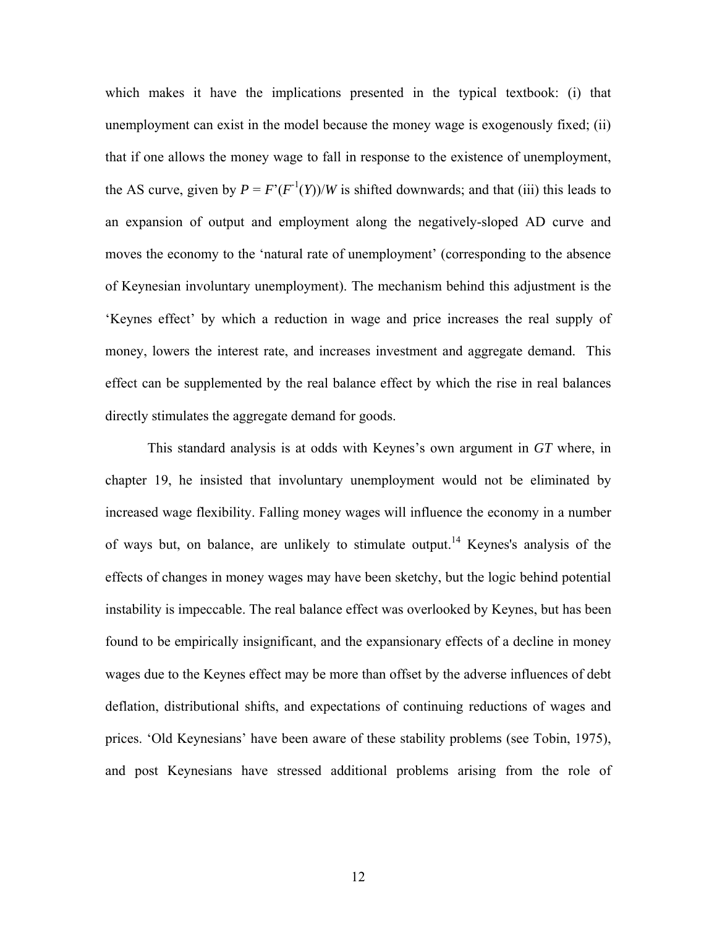which makes it have the implications presented in the typical textbook: (i) that unemployment can exist in the model because the money wage is exogenously fixed; (ii) that if one allows the money wage to fall in response to the existence of unemployment, the AS curve, given by  $P = F'(F^{-1}(Y))/W$  is shifted downwards; and that (iii) this leads to an expansion of output and employment along the negatively-sloped AD curve and moves the economy to the 'natural rate of unemployment' (corresponding to the absence of Keynesian involuntary unemployment). The mechanism behind this adjustment is the 'Keynes effect' by which a reduction in wage and price increases the real supply of money, lowers the interest rate, and increases investment and aggregate demand. This effect can be supplemented by the real balance effect by which the rise in real balances directly stimulates the aggregate demand for goods.

This standard analysis is at odds with Keynes's own argument in *GT* where, in chapter 19, he insisted that involuntary unemployment would not be eliminated by increased wage flexibility. Falling money wages will influence the economy in a number of ways but, on balance, are unlikely to stimulate output.<sup>14</sup> Keynes's analysis of the effects of changes in money wages may have been sketchy, but the logic behind potential instability is impeccable. The real balance effect was overlooked by Keynes, but has been found to be empirically insignificant, and the expansionary effects of a decline in money wages due to the Keynes effect may be more than offset by the adverse influences of debt deflation, distributional shifts, and expectations of continuing reductions of wages and prices. 'Old Keynesians' have been aware of these stability problems (see Tobin, 1975), and post Keynesians have stressed additional problems arising from the role of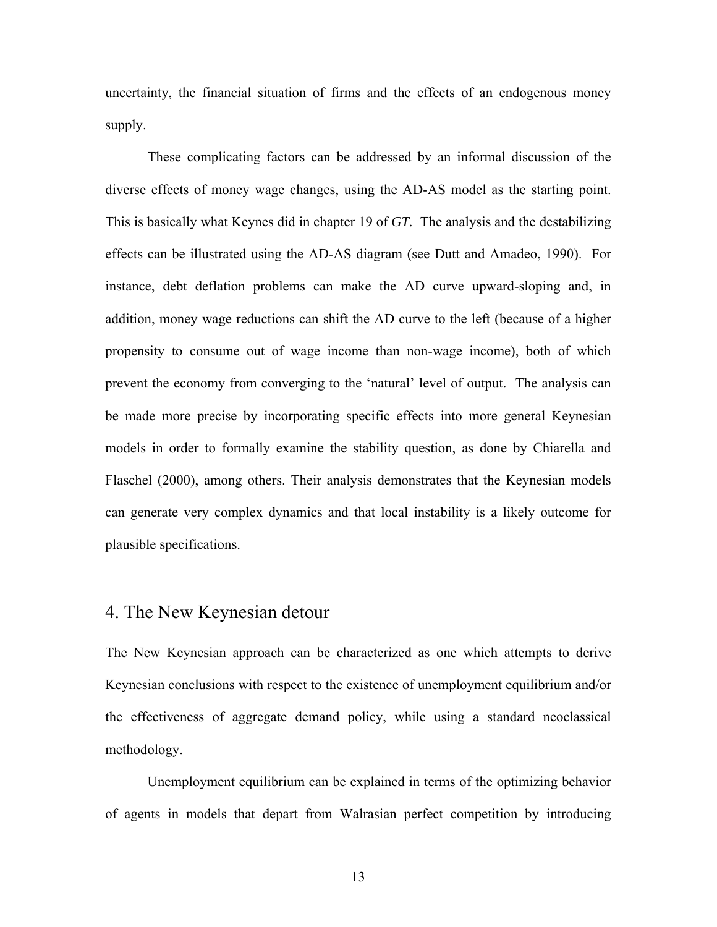uncertainty, the financial situation of firms and the effects of an endogenous money supply.

These complicating factors can be addressed by an informal discussion of the diverse effects of money wage changes, using the AD-AS model as the starting point. This is basically what Keynes did in chapter 19 of *GT.* The analysis and the destabilizing effects can be illustrated using the AD-AS diagram (see Dutt and Amadeo, 1990). For instance, debt deflation problems can make the AD curve upward-sloping and, in addition, money wage reductions can shift the AD curve to the left (because of a higher propensity to consume out of wage income than non-wage income), both of which prevent the economy from converging to the 'natural' level of output. The analysis can be made more precise by incorporating specific effects into more general Keynesian models in order to formally examine the stability question, as done by Chiarella and Flaschel (2000), among others. Their analysis demonstrates that the Keynesian models can generate very complex dynamics and that local instability is a likely outcome for plausible specifications.

### 4. The New Keynesian detour

The New Keynesian approach can be characterized as one which attempts to derive Keynesian conclusions with respect to the existence of unemployment equilibrium and/or the effectiveness of aggregate demand policy, while using a standard neoclassical methodology.

Unemployment equilibrium can be explained in terms of the optimizing behavior of agents in models that depart from Walrasian perfect competition by introducing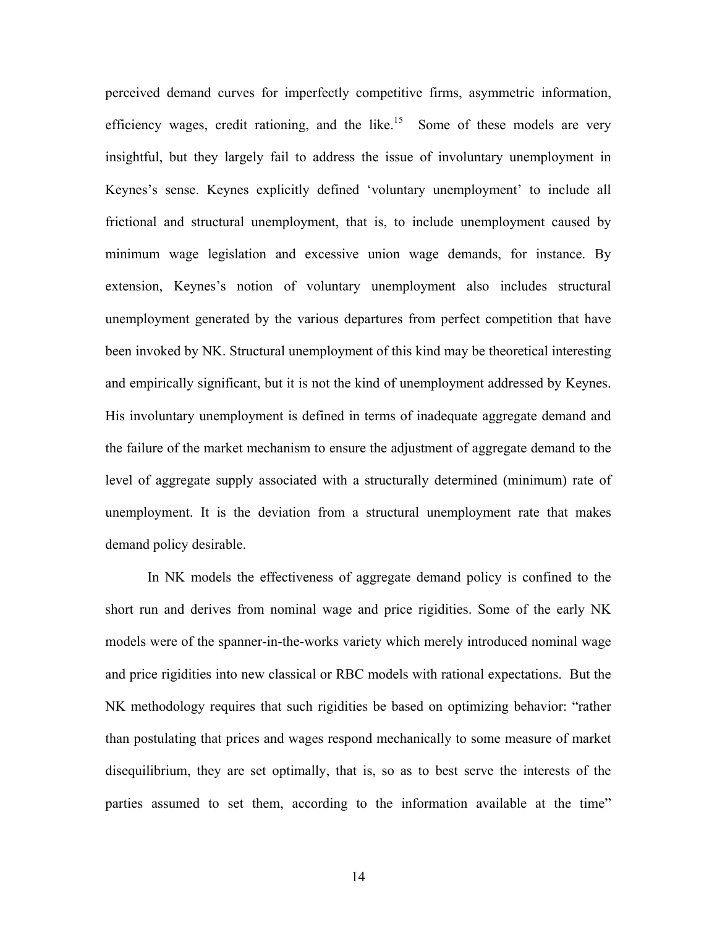perceived demand curves for imperfectly competitive firms, asymmetric information, efficiency wages, credit rationing, and the like.<sup>15</sup> Some of these models are very insightful, but they largely fail to address the issue of involuntary unemployment in Keynes's sense. Keynes explicitly defined 'voluntary unemployment' to include all frictional and structural unemployment, that is, to include unemployment caused by minimum wage legislation and excessive union wage demands, for instance. By extension, Keynes's notion of voluntary unemployment also includes structural unemployment generated by the various departures from perfect competition that have been invoked by NK. Structural unemployment of this kind may be theoretical interesting and empirically significant, but it is not the kind of unemployment addressed by Keynes. His involuntary unemployment is defined in terms of inadequate aggregate demand and the failure of the market mechanism to ensure the adjustment of aggregate demand to the level of aggregate supply associated with a structurally determined (minimum) rate of unemployment. It is the deviation from a structural unemployment rate that makes demand policy desirable.

In NK models the effectiveness of aggregate demand policy is confined to the short run and derives from nominal wage and price rigidities. Some of the early NK models were of the spanner-in-the-works variety which merely introduced nominal wage and price rigidities into new classical or RBC models with rational expectations. But the NK methodology requires that such rigidities be based on optimizing behavior: "rather than postulating that prices and wages respond mechanically to some measure of market disequilibrium, they are set optimally, that is, so as to best serve the interests of the parties assumed to set them, according to the information available at the time"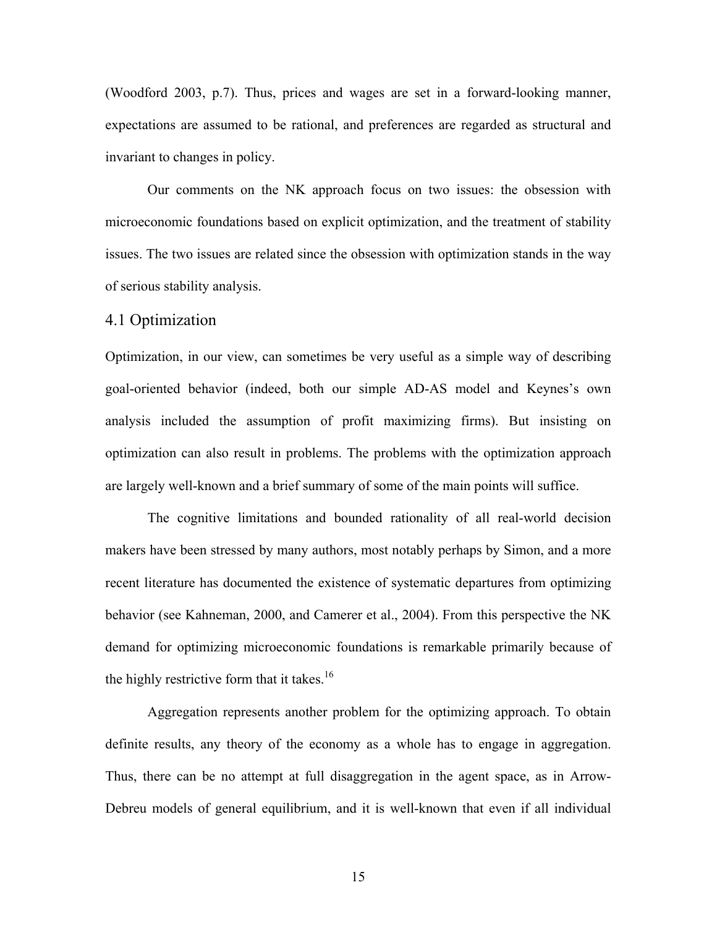(Woodford 2003, p.7). Thus, prices and wages are set in a forward-looking manner, expectations are assumed to be rational, and preferences are regarded as structural and invariant to changes in policy.

Our comments on the NK approach focus on two issues: the obsession with microeconomic foundations based on explicit optimization, and the treatment of stability issues. The two issues are related since the obsession with optimization stands in the way of serious stability analysis.

#### 4.1 Optimization

Optimization, in our view, can sometimes be very useful as a simple way of describing goal-oriented behavior (indeed, both our simple AD-AS model and Keynes's own analysis included the assumption of profit maximizing firms). But insisting on optimization can also result in problems. The problems with the optimization approach are largely well-known and a brief summary of some of the main points will suffice.

The cognitive limitations and bounded rationality of all real-world decision makers have been stressed by many authors, most notably perhaps by Simon, and a more recent literature has documented the existence of systematic departures from optimizing behavior (see Kahneman, 2000, and Camerer et al., 2004). From this perspective the NK demand for optimizing microeconomic foundations is remarkable primarily because of the highly restrictive form that it takes.<sup>16</sup>

Aggregation represents another problem for the optimizing approach. To obtain definite results, any theory of the economy as a whole has to engage in aggregation. Thus, there can be no attempt at full disaggregation in the agent space, as in Arrow-Debreu models of general equilibrium, and it is well-known that even if all individual

15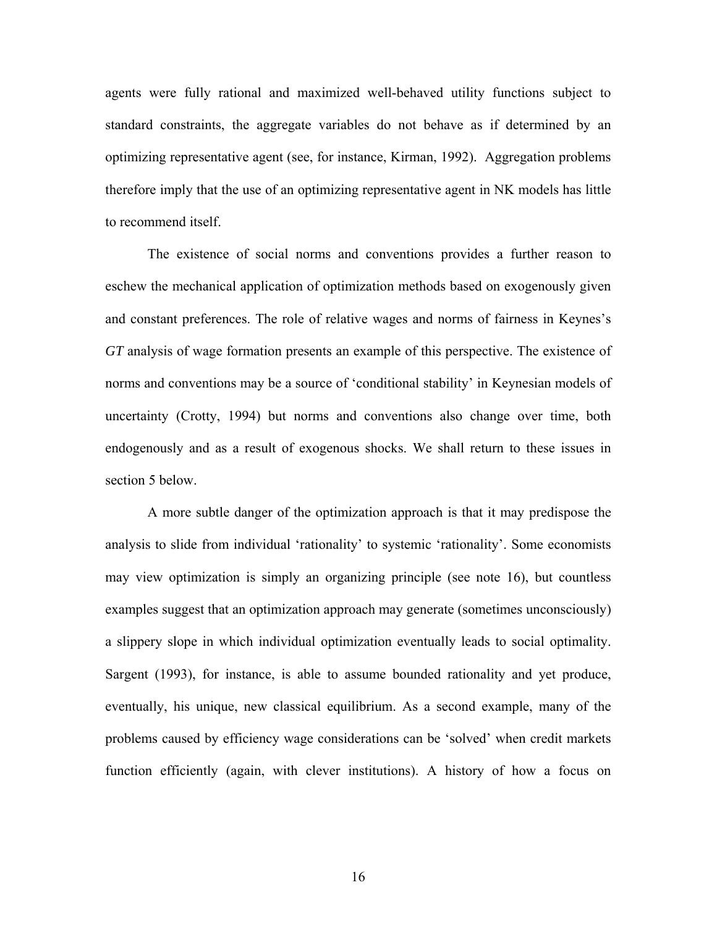agents were fully rational and maximized well-behaved utility functions subject to standard constraints, the aggregate variables do not behave as if determined by an optimizing representative agent (see, for instance, Kirman, 1992). Aggregation problems therefore imply that the use of an optimizing representative agent in NK models has little to recommend itself.

The existence of social norms and conventions provides a further reason to eschew the mechanical application of optimization methods based on exogenously given and constant preferences. The role of relative wages and norms of fairness in Keynes's *GT* analysis of wage formation presents an example of this perspective. The existence of norms and conventions may be a source of 'conditional stability' in Keynesian models of uncertainty (Crotty, 1994) but norms and conventions also change over time, both endogenously and as a result of exogenous shocks. We shall return to these issues in section 5 below.

A more subtle danger of the optimization approach is that it may predispose the analysis to slide from individual 'rationality' to systemic 'rationality'. Some economists may view optimization is simply an organizing principle (see note 16), but countless examples suggest that an optimization approach may generate (sometimes unconsciously) a slippery slope in which individual optimization eventually leads to social optimality. Sargent (1993), for instance, is able to assume bounded rationality and yet produce, eventually, his unique, new classical equilibrium. As a second example, many of the problems caused by efficiency wage considerations can be 'solved' when credit markets function efficiently (again, with clever institutions). A history of how a focus on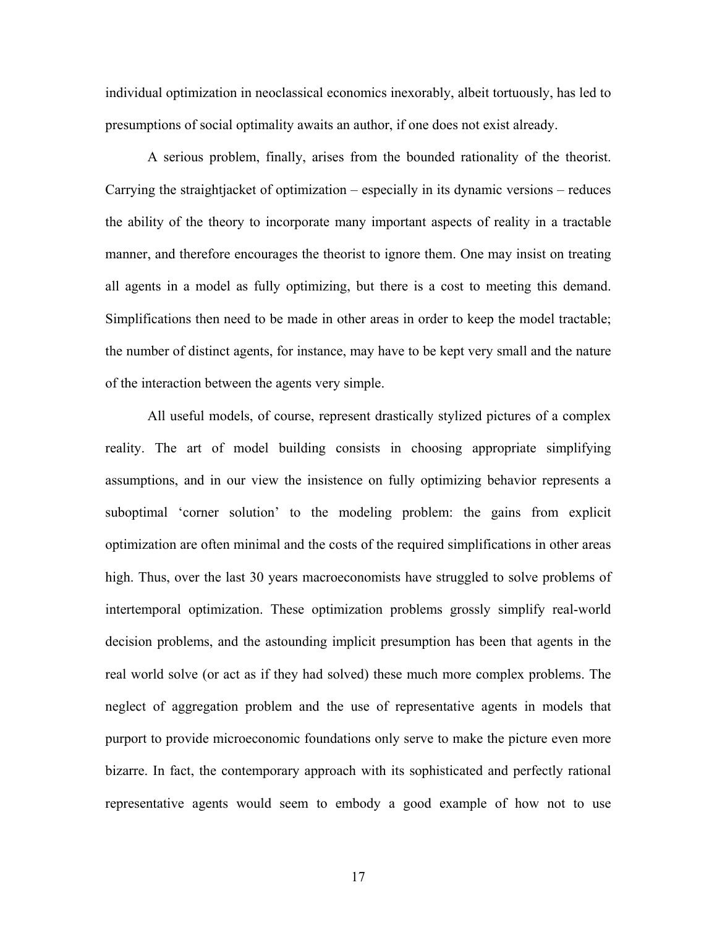individual optimization in neoclassical economics inexorably, albeit tortuously, has led to presumptions of social optimality awaits an author, if one does not exist already.

A serious problem, finally, arises from the bounded rationality of the theorist. Carrying the straightjacket of optimization – especially in its dynamic versions – reduces the ability of the theory to incorporate many important aspects of reality in a tractable manner, and therefore encourages the theorist to ignore them. One may insist on treating all agents in a model as fully optimizing, but there is a cost to meeting this demand. Simplifications then need to be made in other areas in order to keep the model tractable; the number of distinct agents, for instance, may have to be kept very small and the nature of the interaction between the agents very simple.

All useful models, of course, represent drastically stylized pictures of a complex reality. The art of model building consists in choosing appropriate simplifying assumptions, and in our view the insistence on fully optimizing behavior represents a suboptimal 'corner solution' to the modeling problem: the gains from explicit optimization are often minimal and the costs of the required simplifications in other areas high. Thus, over the last 30 years macroeconomists have struggled to solve problems of intertemporal optimization. These optimization problems grossly simplify real-world decision problems, and the astounding implicit presumption has been that agents in the real world solve (or act as if they had solved) these much more complex problems. The neglect of aggregation problem and the use of representative agents in models that purport to provide microeconomic foundations only serve to make the picture even more bizarre. In fact, the contemporary approach with its sophisticated and perfectly rational representative agents would seem to embody a good example of how not to use

17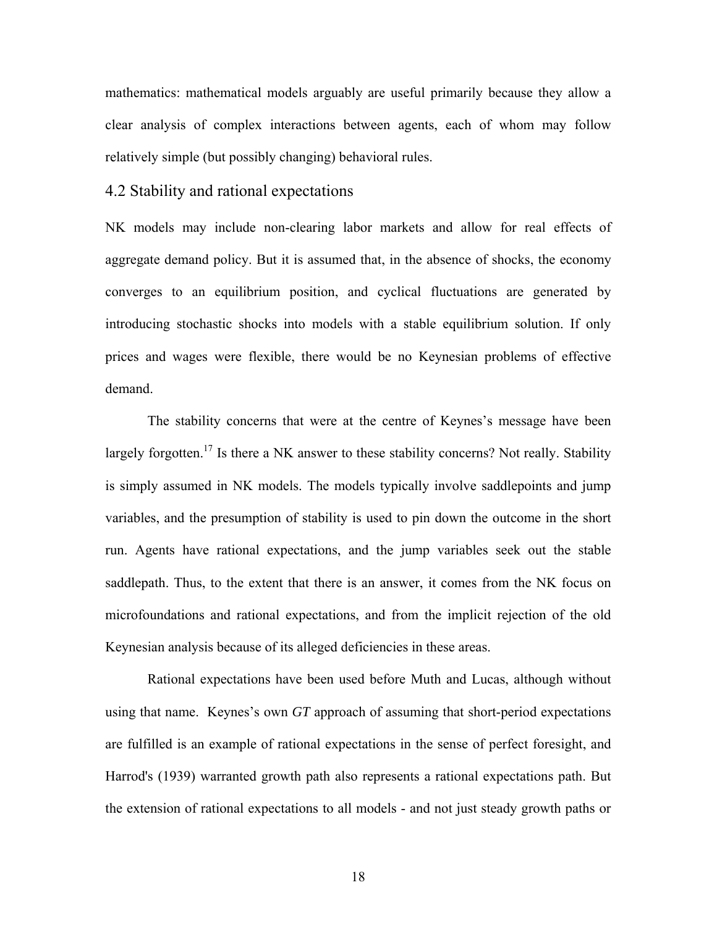mathematics: mathematical models arguably are useful primarily because they allow a clear analysis of complex interactions between agents, each of whom may follow relatively simple (but possibly changing) behavioral rules.

#### 4.2 Stability and rational expectations

NK models may include non-clearing labor markets and allow for real effects of aggregate demand policy. But it is assumed that, in the absence of shocks, the economy converges to an equilibrium position, and cyclical fluctuations are generated by introducing stochastic shocks into models with a stable equilibrium solution. If only prices and wages were flexible, there would be no Keynesian problems of effective demand.

The stability concerns that were at the centre of Keynes's message have been largely forgotten.<sup>17</sup> Is there a NK answer to these stability concerns? Not really. Stability is simply assumed in NK models. The models typically involve saddlepoints and jump variables, and the presumption of stability is used to pin down the outcome in the short run. Agents have rational expectations, and the jump variables seek out the stable saddlepath. Thus, to the extent that there is an answer, it comes from the NK focus on microfoundations and rational expectations, and from the implicit rejection of the old Keynesian analysis because of its alleged deficiencies in these areas.

Rational expectations have been used before Muth and Lucas, although without using that name. Keynes's own *GT* approach of assuming that short-period expectations are fulfilled is an example of rational expectations in the sense of perfect foresight, and Harrod's (1939) warranted growth path also represents a rational expectations path. But the extension of rational expectations to all models - and not just steady growth paths or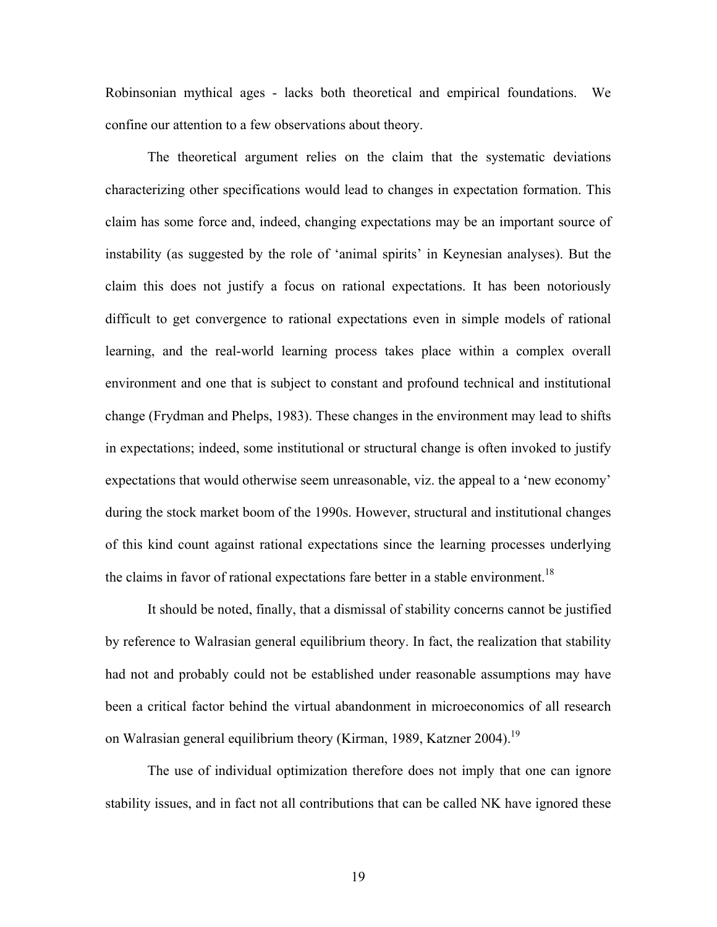Robinsonian mythical ages - lacks both theoretical and empirical foundations. We confine our attention to a few observations about theory.

The theoretical argument relies on the claim that the systematic deviations characterizing other specifications would lead to changes in expectation formation. This claim has some force and, indeed, changing expectations may be an important source of instability (as suggested by the role of 'animal spirits' in Keynesian analyses). But the claim this does not justify a focus on rational expectations. It has been notoriously difficult to get convergence to rational expectations even in simple models of rational learning, and the real-world learning process takes place within a complex overall environment and one that is subject to constant and profound technical and institutional change (Frydman and Phelps, 1983). These changes in the environment may lead to shifts in expectations; indeed, some institutional or structural change is often invoked to justify expectations that would otherwise seem unreasonable, viz. the appeal to a 'new economy' during the stock market boom of the 1990s. However, structural and institutional changes of this kind count against rational expectations since the learning processes underlying the claims in favor of rational expectations fare better in a stable environment.<sup>[18](#page-37-17)</sup>

It should be noted, finally, that a dismissal of stability concerns cannot be justified by reference to Walrasian general equilibrium theory. In fact, the realization that stability had not and probably could not be established under reasonable assumptions may have been a critical factor behind the virtual abandonment in microeconomics of all research on Walrasian general equilibrium theory (Kirman, 1989, Katzner 2004).<sup>19</sup>

The use of individual optimization therefore does not imply that one can ignore stability issues, and in fact not all contributions that can be called NK have ignored these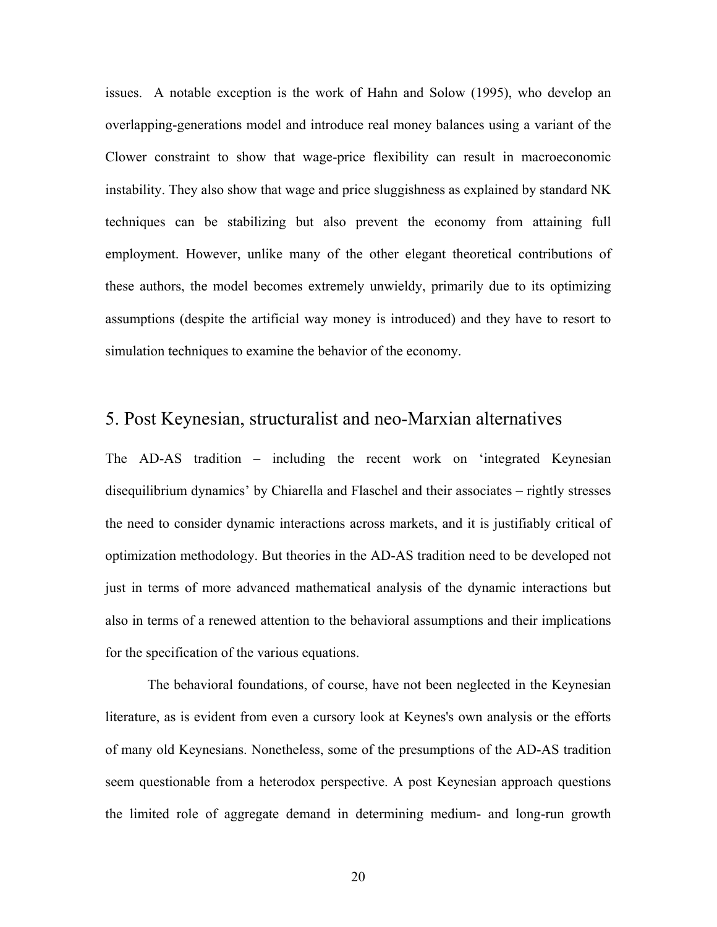issues. A notable exception is the work of Hahn and Solow (1995), who develop an overlapping-generations model and introduce real money balances using a variant of the Clower constraint to show that wage-price flexibility can result in macroeconomic instability. They also show that wage and price sluggishness as explained by standard NK techniques can be stabilizing but also prevent the economy from attaining full employment. However, unlike many of the other elegant theoretical contributions of these authors, the model becomes extremely unwieldy, primarily due to its optimizing assumptions (despite the artificial way money is introduced) and they have to resort to simulation techniques to examine the behavior of the economy.

#### 5. Post Keynesian, structuralist and neo-Marxian alternatives

The AD-AS tradition – including the recent work on 'integrated Keynesian disequilibrium dynamics' by Chiarella and Flaschel and their associates – rightly stresses the need to consider dynamic interactions across markets, and it is justifiably critical of optimization methodology. But theories in the AD-AS tradition need to be developed not just in terms of more advanced mathematical analysis of the dynamic interactions but also in terms of a renewed attention to the behavioral assumptions and their implications for the specification of the various equations.

The behavioral foundations, of course, have not been neglected in the Keynesian literature, as is evident from even a cursory look at Keynes's own analysis or the efforts of many old Keynesians. Nonetheless, some of the presumptions of the AD-AS tradition seem questionable from a heterodox perspective. A post Keynesian approach questions the limited role of aggregate demand in determining medium- and long-run growth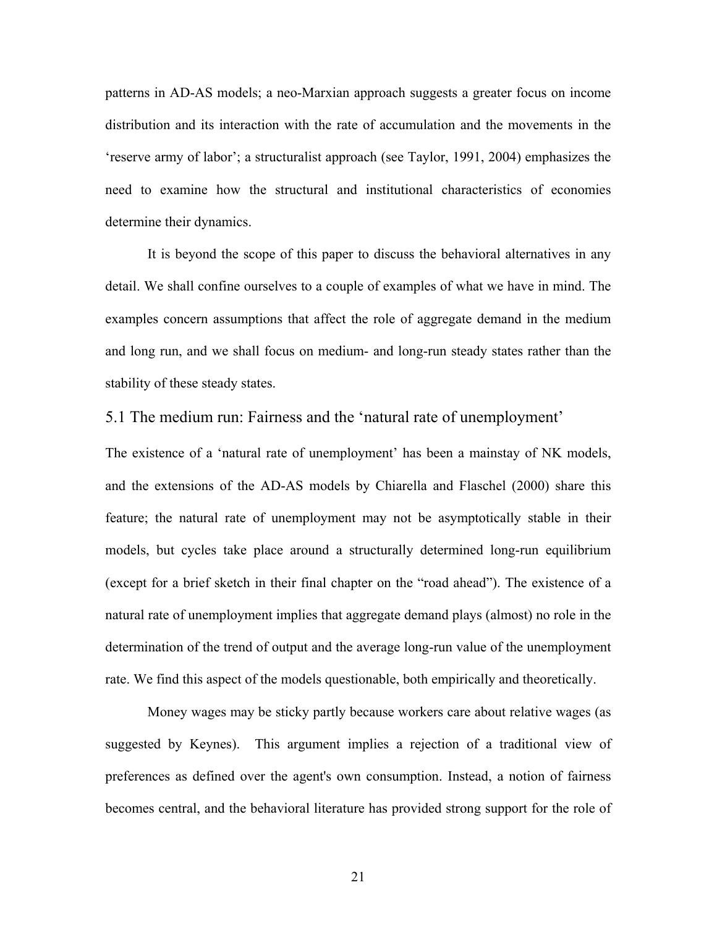patterns in AD-AS models; a neo-Marxian approach suggests a greater focus on income distribution and its interaction with the rate of accumulation and the movements in the 'reserve army of labor'; a structuralist approach (see Taylor, 1991, 2004) emphasizes the need to examine how the structural and institutional characteristics of economies determine their dynamics.

It is beyond the scope of this paper to discuss the behavioral alternatives in any detail. We shall confine ourselves to a couple of examples of what we have in mind. The examples concern assumptions that affect the role of aggregate demand in the medium and long run, and we shall focus on medium- and long-run steady states rather than the stability of these steady states.

#### 5.1 The medium run: Fairness and the 'natural rate of unemployment'

The existence of a 'natural rate of unemployment' has been a mainstay of NK models, and the extensions of the AD-AS models by Chiarella and Flaschel (2000) share this feature; the natural rate of unemployment may not be asymptotically stable in their models, but cycles take place around a structurally determined long-run equilibrium (except for a brief sketch in their final chapter on the "road ahead"). The existence of a natural rate of unemployment implies that aggregate demand plays (almost) no role in the determination of the trend of output and the average long-run value of the unemployment rate. We find this aspect of the models questionable, both empirically and theoretically.

Money wages may be sticky partly because workers care about relative wages (as suggested by Keynes). This argument implies a rejection of a traditional view of preferences as defined over the agent's own consumption. Instead, a notion of fairness becomes central, and the behavioral literature has provided strong support for the role of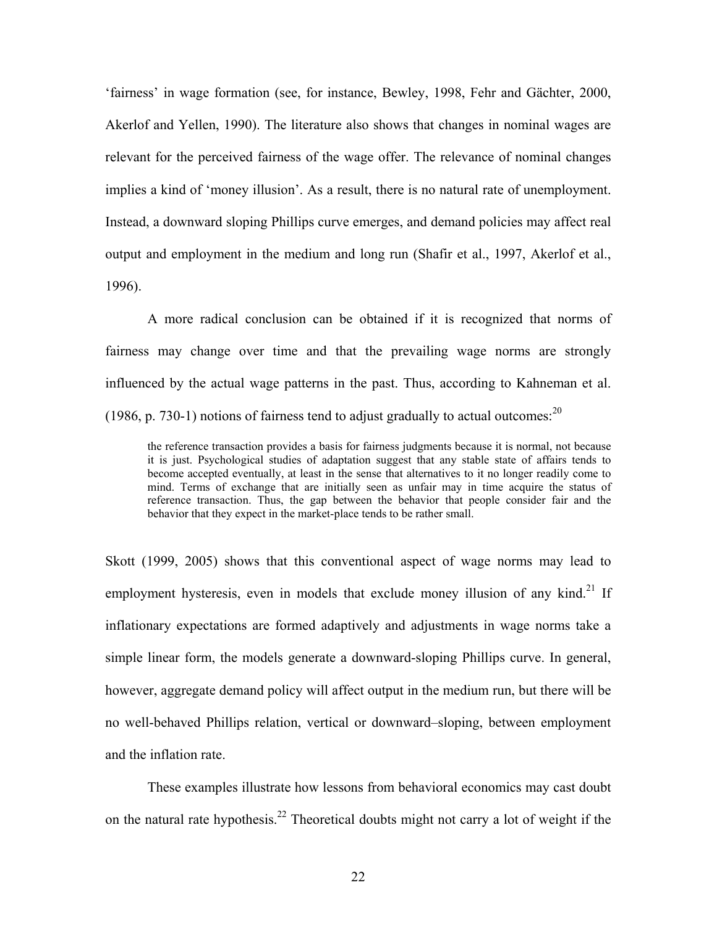'fairness' in wage formation (see, for instance, Bewley, 1998, Fehr and Gächter, 2000, Akerlof and Yellen, 1990). The literature also shows that changes in nominal wages are relevant for the perceived fairness of the wage offer. The relevance of nominal changes implies a kind of 'money illusion'. As a result, there is no natural rate of unemployment. Instead, a downward sloping Phillips curve emerges, and demand policies may affect real output and employment in the medium and long run (Shafir et al., 1997, Akerlof et al., 1996).

A more radical conclusion can be obtained if it is recognized that norms of fairness may change over time and that the prevailing wage norms are strongly influenced by the actual wage patterns in the past. Thus, according to Kahneman et al. (1986, p. 730-1) notions of fairness tend to adjust gradually to actual outcomes: $^{20}$ 

the reference transaction provides a basis for fairness judgments because it is normal, not because it is just. Psychological studies of adaptation suggest that any stable state of affairs tends to become accepted eventually, at least in the sense that alternatives to it no longer readily come to mind. Terms of exchange that are initially seen as unfair may in time acquire the status of reference transaction. Thus, the gap between the behavior that people consider fair and the behavior that they expect in the market-place tends to be rather small.

Skott (1999, 2005) shows that this conventional aspect of wage norms may lead to employment hysteresis, even in models that exclude money illusion of any kind.<sup>21</sup> If inflationary expectations are formed adaptively and adjustments in wage norms take a simple linear form, the models generate a downward-sloping Phillips curve. In general, however, aggregate demand policy will affect output in the medium run, but there will be no well-behaved Phillips relation, vertical or downward–sloping, between employment and the inflation rate.

These examples illustrate how lessons from behavioral economics may cast doubt on the natural rate hypothesis.<sup>22</sup> Theoretical doubts might not carry a lot of weight if the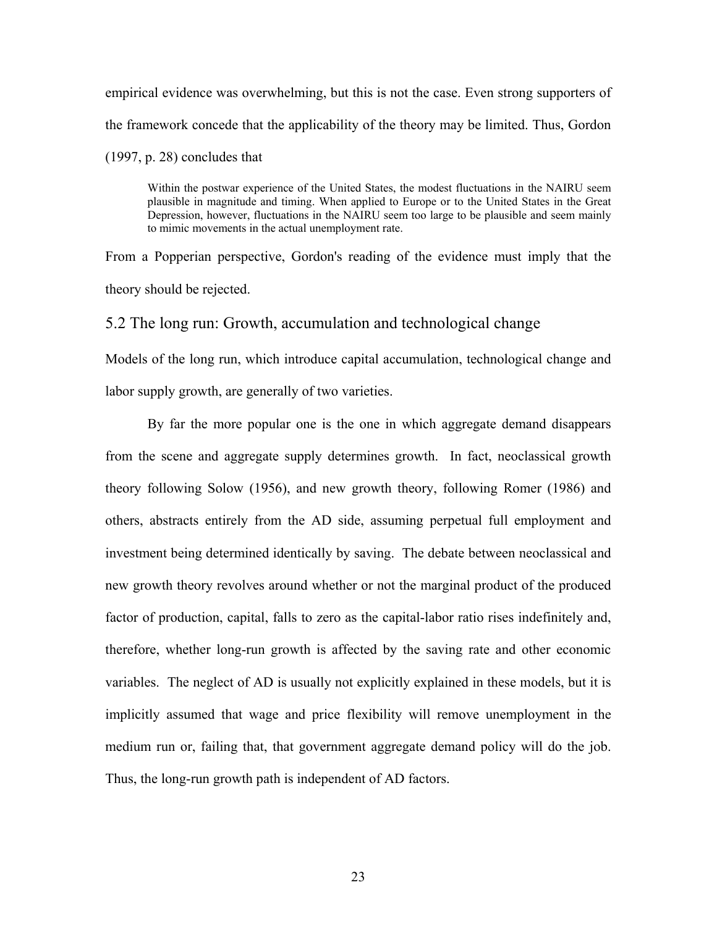empirical evidence was overwhelming, but this is not the case. Even strong supporters of the framework concede that the applicability of the theory may be limited. Thus, Gordon  $(1997, p. 28)$  concludes that

Within the postwar experience of the United States, the modest fluctuations in the NAIRU seem plausible in magnitude and timing. When applied to Europe or to the United States in the Great Depression, however, fluctuations in the NAIRU seem too large to be plausible and seem mainly to mimic movements in the actual unemployment rate.

From a Popperian perspective, Gordon's reading of the evidence must imply that the theory should be rejected.

5.2 The long run: Growth, accumulation and technological change

Models of the long run, which introduce capital accumulation, technological change and labor supply growth, are generally of two varieties.

By far the more popular one is the one in which aggregate demand disappears from the scene and aggregate supply determines growth. In fact, neoclassical growth theory following Solow (1956), and new growth theory, following Romer (1986) and others, abstracts entirely from the AD side, assuming perpetual full employment and investment being determined identically by saving. The debate between neoclassical and new growth theory revolves around whether or not the marginal product of the produced factor of production, capital, falls to zero as the capital-labor ratio rises indefinitely and, therefore, whether long-run growth is affected by the saving rate and other economic variables. The neglect of AD is usually not explicitly explained in these models, but it is implicitly assumed that wage and price flexibility will remove unemployment in the medium run or, failing that, that government aggregate demand policy will do the job. Thus, the long-run growth path is independent of AD factors.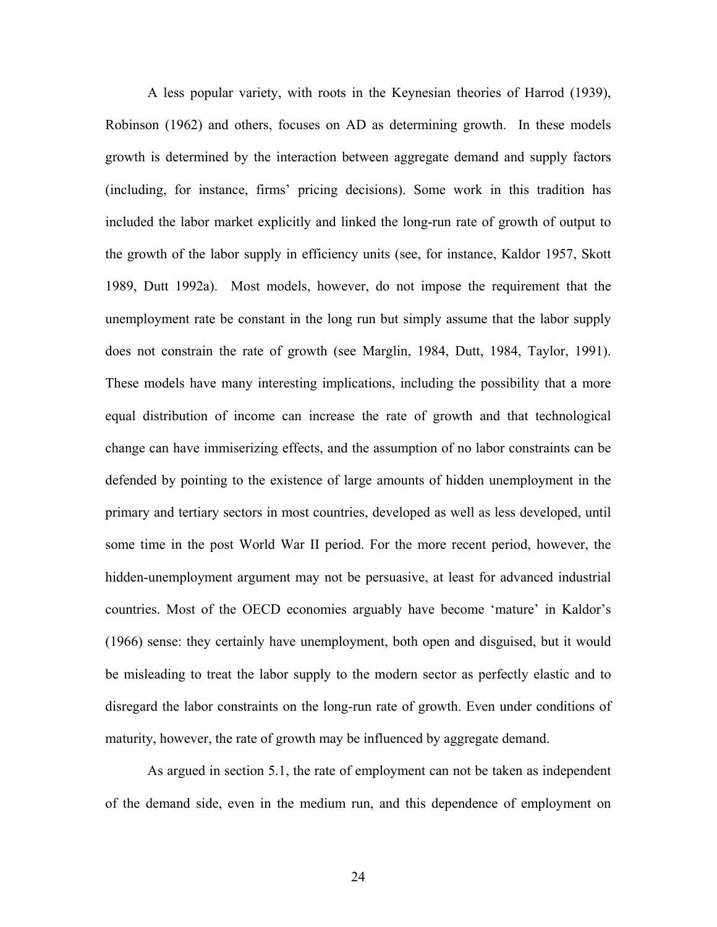A less popular variety, with roots in the Keynesian theories of Harrod (1939), Robinson (1962) and others, focuses on AD as determining growth. In these models growth is determined by the interaction between aggregate demand and supply factors (including, for instance, firms' pricing decisions). Some work in this tradition has included the labor market explicitly and linked the long-run rate of growth of output to the growth of the labor supply in efficiency units (see, for instance, Kaldor 1957, Skott 1989, Dutt 1992a). Most models, however, do not impose the requirement that the unemployment rate be constant in the long run but simply assume that the labor supply does not constrain the rate of growth (see Marglin, 1984, Dutt, 1984, Taylor, 1991). These models have many interesting implications, including the possibility that a more equal distribution of income can increase the rate of growth and that technological change can have immiserizing effects, and the assumption of no labor constraints can be defended by pointing to the existence of large amounts of hidden unemployment in the primary and tertiary sectors in most countries, developed as well as less developed, until some time in the post World War II period. For the more recent period, however, the hidden-unemployment argument may not be persuasive, at least for advanced industrial countries. Most of the OECD economies arguably have become 'mature' in Kaldor's (1966) sense: they certainly have unemployment, both open and disguised, but it would be misleading to treat the labor supply to the modern sector as perfectly elastic and to disregard the labor constraints on the long-run rate of growth. Even under conditions of maturity, however, the rate of growth may be influenced by aggregate demand.

As argued in section 5.1, the rate of employment can not be taken as independent of the demand side, even in the medium run, and this dependence of employment on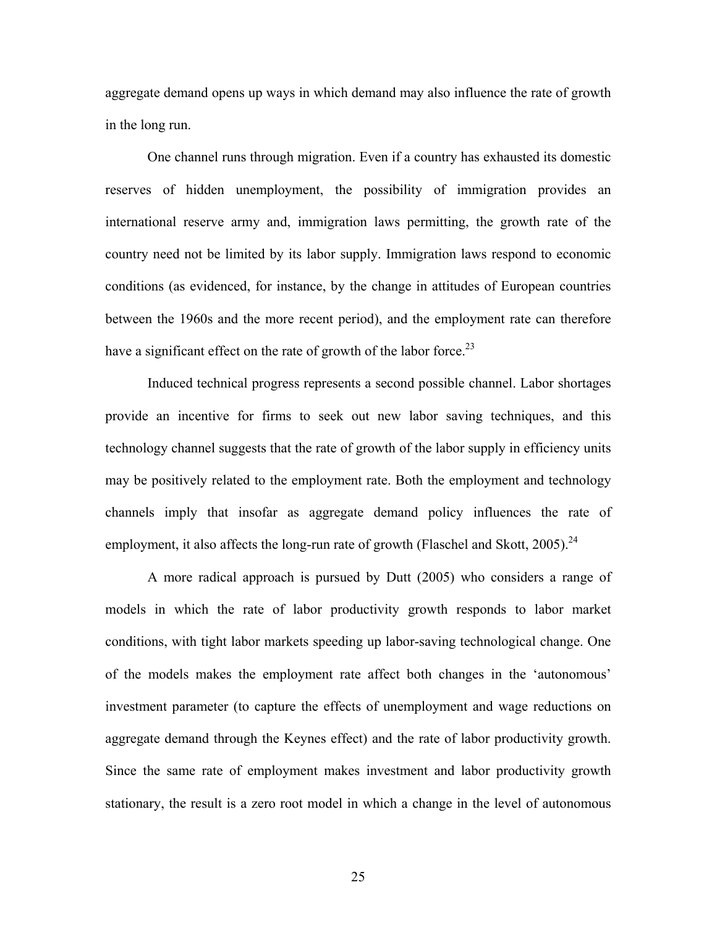aggregate demand opens up ways in which demand may also influence the rate of growth in the long run.

One channel runs through migration. Even if a country has exhausted its domestic reserves of hidden unemployment, the possibility of immigration provides an international reserve army and, immigration laws permitting, the growth rate of the country need not be limited by its labor supply. Immigration laws respond to economic conditions (as evidenced, for instance, by the change in attitudes of European countries between the 1960s and the more recent period), and the employment rate can therefore have a significant effect on the rate of growth of the labor force.<sup>23</sup>

Induced technical progress represents a second possible channel. Labor shortages provide an incentive for firms to seek out new labor saving techniques, and this technology channel suggests that the rate of growth of the labor supply in efficiency units may be positively related to the employment rate. Both the employment and technology channels imply that insofar as aggregate demand policy influences the rate of employment, it also affects the long-run rate of growth (Flaschel and Skott,  $2005$ ).<sup>[24](#page-37-23)</sup>

A more radical approach is pursued by Dutt (2005) who considers a range of models in which the rate of labor productivity growth responds to labor market conditions, with tight labor markets speeding up labor-saving technological change. One of the models makes the employment rate affect both changes in the 'autonomous' investment parameter (to capture the effects of unemployment and wage reductions on aggregate demand through the Keynes effect) and the rate of labor productivity growth. Since the same rate of employment makes investment and labor productivity growth stationary, the result is a zero root model in which a change in the level of autonomous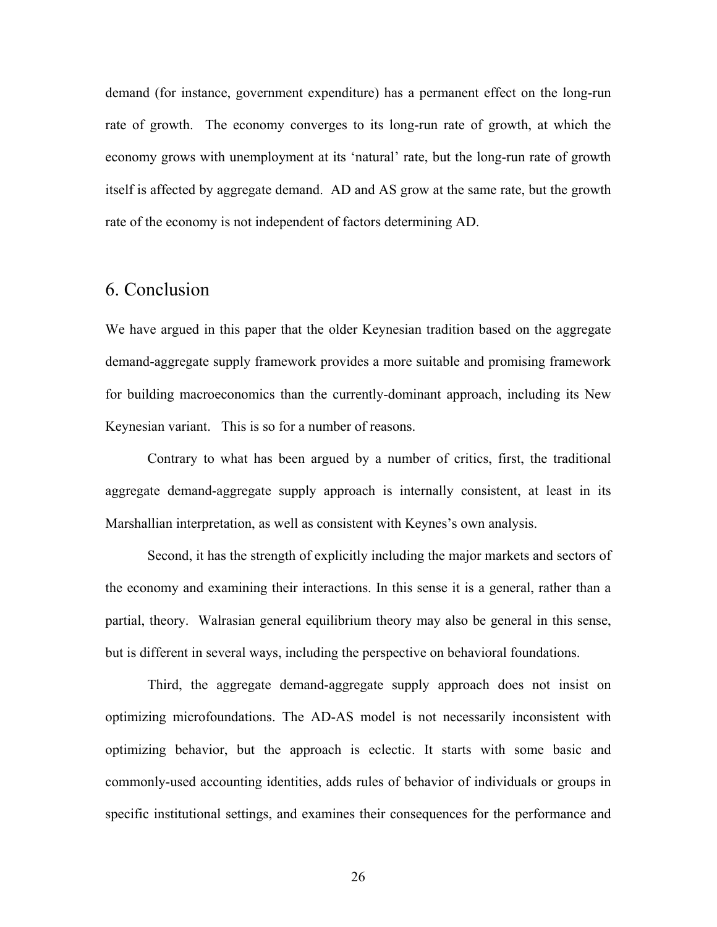demand (for instance, government expenditure) has a permanent effect on the long-run rate of growth. The economy converges to its long-run rate of growth, at which the economy grows with unemployment at its 'natural' rate, but the long-run rate of growth itself is affected by aggregate demand. AD and AS grow at the same rate, but the growth rate of the economy is not independent of factors determining AD.

# 6. Conclusion

We have argued in this paper that the older Keynesian tradition based on the aggregate demand-aggregate supply framework provides a more suitable and promising framework for building macroeconomics than the currently-dominant approach, including its New Keynesian variant. This is so for a number of reasons.

Contrary to what has been argued by a number of critics, first, the traditional aggregate demand-aggregate supply approach is internally consistent, at least in its Marshallian interpretation, as well as consistent with Keynes's own analysis.

Second, it has the strength of explicitly including the major markets and sectors of the economy and examining their interactions. In this sense it is a general, rather than a partial, theory. Walrasian general equilibrium theory may also be general in this sense, but is different in several ways, including the perspective on behavioral foundations.

Third, the aggregate demand-aggregate supply approach does not insist on optimizing microfoundations. The AD-AS model is not necessarily inconsistent with optimizing behavior, but the approach is eclectic. It starts with some basic and commonly-used accounting identities, adds rules of behavior of individuals or groups in specific institutional settings, and examines their consequences for the performance and

26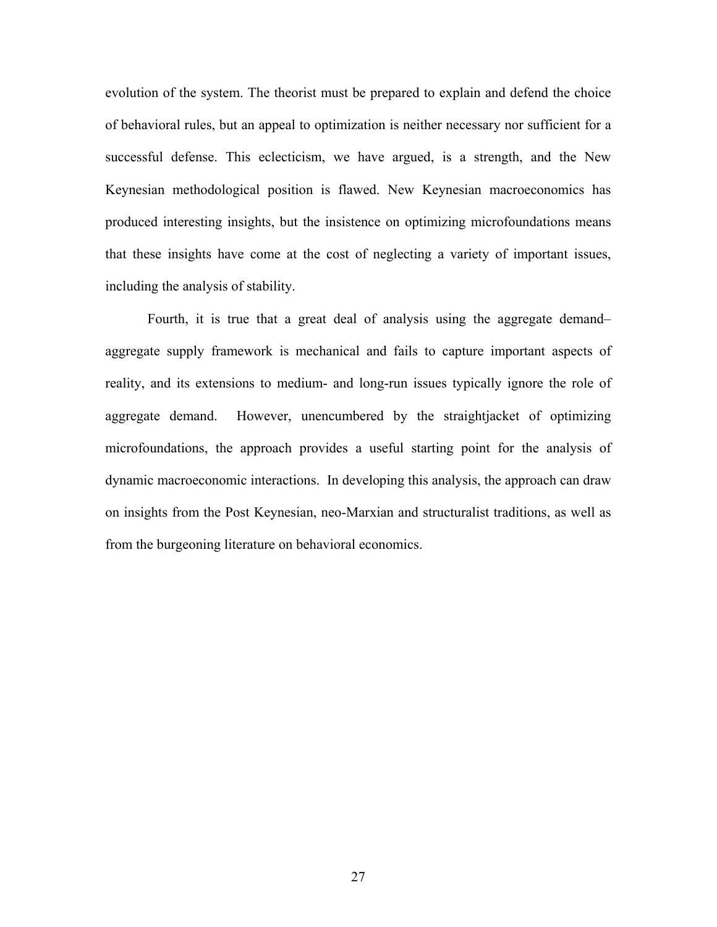evolution of the system. The theorist must be prepared to explain and defend the choice of behavioral rules, but an appeal to optimization is neither necessary nor sufficient for a successful defense. This eclecticism, we have argued, is a strength, and the New Keynesian methodological position is flawed. New Keynesian macroeconomics has produced interesting insights, but the insistence on optimizing microfoundations means that these insights have come at the cost of neglecting a variety of important issues, including the analysis of stability.

Fourth, it is true that a great deal of analysis using the aggregate demand– aggregate supply framework is mechanical and fails to capture important aspects of reality, and its extensions to medium- and long-run issues typically ignore the role of aggregate demand. However, unencumbered by the straightjacket of optimizing microfoundations, the approach provides a useful starting point for the analysis of dynamic macroeconomic interactions. In developing this analysis, the approach can draw on insights from the Post Keynesian, neo-Marxian and structuralist traditions, as well as from the burgeoning literature on behavioral economics.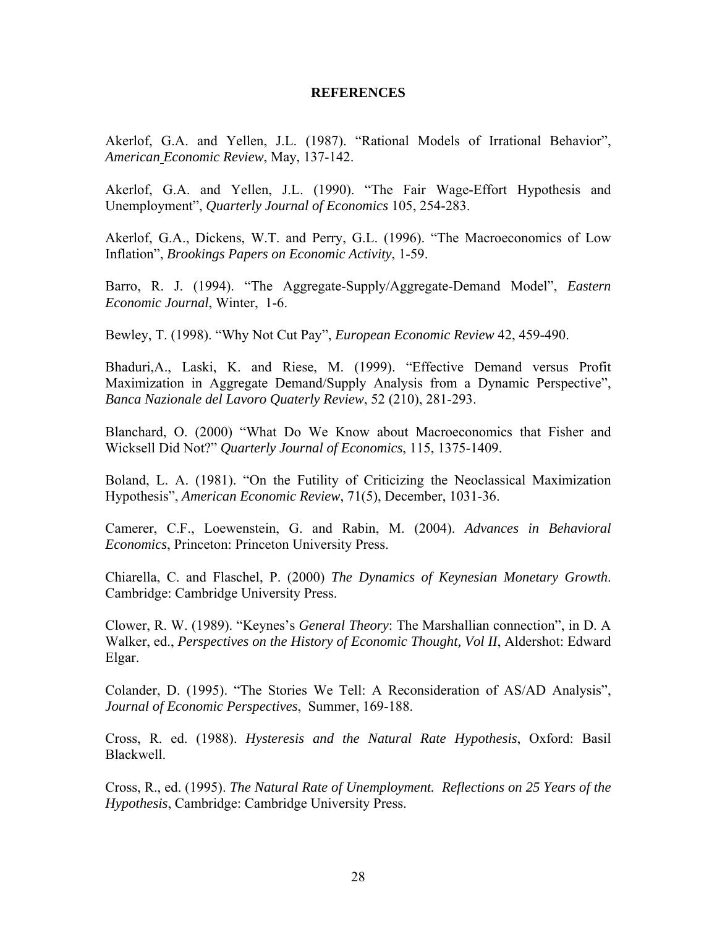#### **REFERENCES**

Akerlof, G.A. and Yellen, J.L. (1987). "Rational Models of Irrational Behavior", *American Economic Review*, May, 137-142.

Akerlof, G.A. and Yellen, J.L. (1990). "The Fair Wage-Effort Hypothesis and Unemployment", *Quarterly Journal of Economics* 105, 254-283.

Akerlof, G.A., Dickens, W.T. and Perry, G.L. (1996). "The Macroeconomics of Low Inflation", *Brookings Papers on Economic Activity*, 1-59.

Barro, R. J. (1994). "The Aggregate-Supply/Aggregate-Demand Model", *Eastern Economic Journal*, Winter, 1-6.

Bewley, T. (1998). "Why Not Cut Pay", *European Economic Review* 42, 459-490.

Bhaduri,A., Laski, K. and Riese, M. (1999). "Effective Demand versus Profit Maximization in Aggregate Demand/Supply Analysis from a Dynamic Perspective", *Banca Nazionale del Lavoro Quaterly Review*, 52 (210), 281-293.

Blanchard, O. (2000) "What Do We Know about Macroeconomics that Fisher and Wicksell Did Not?" *Quarterly Journal of Economics*, 115, 1375-1409.

Boland, L. A. (1981). "On the Futility of Criticizing the Neoclassical Maximization Hypothesis", *American Economic Review*, 71(5), December, 1031-36.

Camerer, C.F., Loewenstein, G. and Rabin, M. (2004). *Advances in Behavioral Economics*, Princeton: Princeton University Press.

Chiarella, C. and Flaschel, P. (2000) *The Dynamics of Keynesian Monetary Growth*. Cambridge: Cambridge University Press.

Clower, R. W. (1989). "Keynes's *General Theory*: The Marshallian connection", in D. A Walker, ed., *Perspectives on the History of Economic Thought, Vol II*, Aldershot: Edward Elgar.

Colander, D. (1995). "The Stories We Tell: A Reconsideration of AS/AD Analysis", *Journal of Economic Perspectives*, Summer, 169-188.

Cross, R. ed. (1988). *Hysteresis and the Natural Rate Hypothesis*, Oxford: Basil Blackwell.

Cross, R., ed. (1995). *The Natural Rate of Unemployment. Reflections on 25 Years of the Hypothesis*, Cambridge: Cambridge University Press.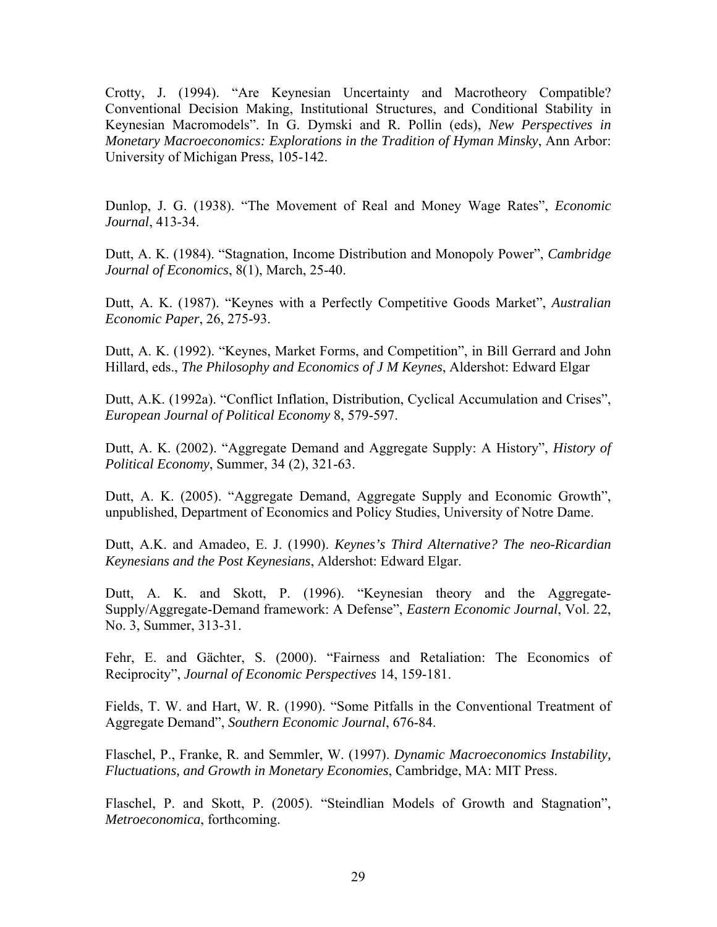Crotty, J. (1994). "Are Keynesian Uncertainty and Macrotheory Compatible? Conventional Decision Making, Institutional Structures, and Conditional Stability in Keynesian Macromodels". In G. Dymski and R. Pollin (eds), *New Perspectives in Monetary Macroeconomics: Explorations in the Tradition of Hyman Minsky*, Ann Arbor: University of Michigan Press, 105-142.

Dunlop, J. G. (1938). "The Movement of Real and Money Wage Rates", *Economic Journal*, 413-34.

Dutt, A. K. (1984). "Stagnation, Income Distribution and Monopoly Power", *Cambridge Journal of Economics*, 8(1), March, 25-40.

Dutt, A. K. (1987). "Keynes with a Perfectly Competitive Goods Market", *Australian Economic Paper*, 26, 275-93.

Dutt, A. K. (1992). "Keynes, Market Forms, and Competition", in Bill Gerrard and John Hillard, eds., *The Philosophy and Economics of J M Keynes*, Aldershot: Edward Elgar

Dutt, A.K. (1992a). "Conflict Inflation, Distribution, Cyclical Accumulation and Crises", *European Journal of Political Economy* 8, 579-597.

Dutt, A. K. (2002). "Aggregate Demand and Aggregate Supply: A History", *History of Political Economy*, Summer, 34 (2), 321-63.

Dutt, A. K. (2005). "Aggregate Demand, Aggregate Supply and Economic Growth", unpublished, Department of Economics and Policy Studies, University of Notre Dame.

Dutt, A.K. and Amadeo, E. J. (1990). *Keynes's Third Alternative? The neo-Ricardian Keynesians and the Post Keynesians*, Aldershot: Edward Elgar.

Dutt, A. K. and Skott, P. (1996). "Keynesian theory and the Aggregate-Supply/Aggregate-Demand framework: A Defense", *Eastern Economic Journal*, Vol. 22, No. 3, Summer, 313-31.

Fehr, E. and Gächter, S. (2000). "Fairness and Retaliation: The Economics of Reciprocity", *Journal of Economic Perspectives* 14, 159-181.

Fields, T. W. and Hart, W. R. (1990). "Some Pitfalls in the Conventional Treatment of Aggregate Demand", *Southern Economic Journal*, 676-84.

Flaschel, P., Franke, R. and Semmler, W. (1997). *Dynamic Macroeconomics Instability, Fluctuations, and Growth in Monetary Economies*, Cambridge, MA: MIT Press.

Flaschel, P. and Skott, P. (2005). "Steindlian Models of Growth and Stagnation", *Metroeconomica*, forthcoming.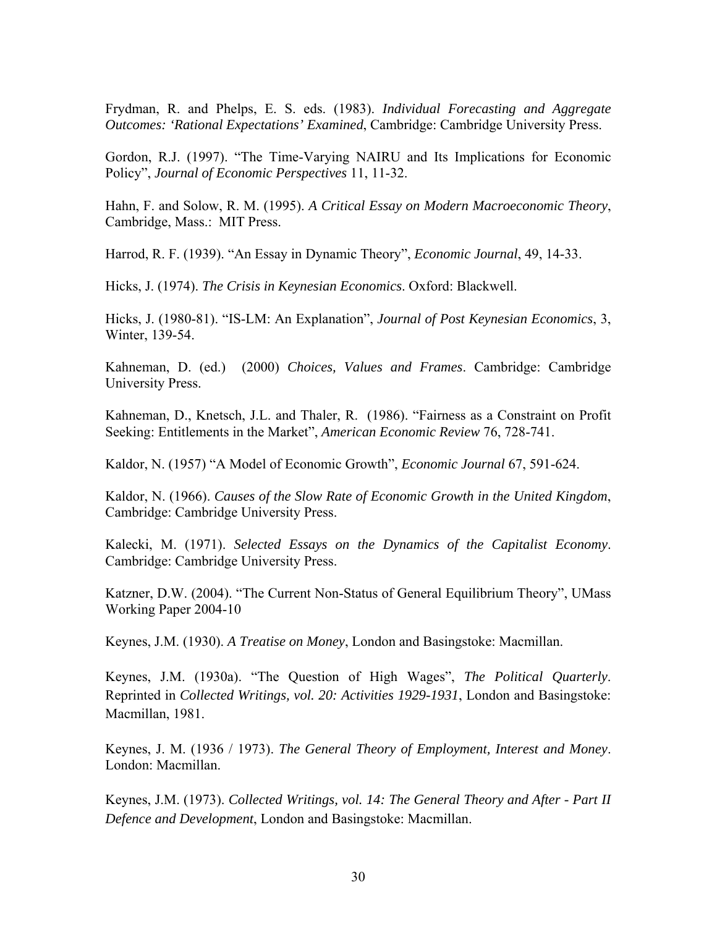Frydman, R. and Phelps, E. S. eds. (1983). *Individual Forecasting and Aggregate Outcomes: 'Rational Expectations' Examined*, Cambridge: Cambridge University Press.

Gordon, R.J. (1997). "The Time-Varying NAIRU and Its Implications for Economic Policy", *Journal of Economic Perspectives* 11, 11-32.

Hahn, F. and Solow, R. M. (1995). *A Critical Essay on Modern Macroeconomic Theory*, Cambridge, Mass.: MIT Press.

Harrod, R. F. (1939). "An Essay in Dynamic Theory", *Economic Journal*, 49, 14-33.

Hicks, J. (1974). *The Crisis in Keynesian Economics*. Oxford: Blackwell.

Hicks, J. (1980-81). "IS-LM: An Explanation", *Journal of Post Keynesian Economics*, 3, Winter, 139-54.

Kahneman, D. (ed.) (2000) *Choices, Values and Frames*. Cambridge: Cambridge University Press.

Kahneman, D., Knetsch, J.L. and Thaler, R. (1986). "Fairness as a Constraint on Profit Seeking: Entitlements in the Market", *American Economic Review* 76, 728-741.

Kaldor, N. (1957) "A Model of Economic Growth", *Economic Journal* 67, 591-624.

Kaldor, N. (1966). *Causes of the Slow Rate of Economic Growth in the United Kingdom*, Cambridge: Cambridge University Press.

Kalecki, M. (1971). *Selected Essays on the Dynamics of the Capitalist Economy*. Cambridge: Cambridge University Press.

Katzner, D.W. (2004). "The Current Non-Status of General Equilibrium Theory", UMass Working Paper 2004-10

Keynes, J.M. (1930). *A Treatise on Money*, London and Basingstoke: Macmillan.

Keynes, J.M. (1930a). "The Question of High Wages", *The Political Quarterly*. Reprinted in *Collected Writings, vol. 20: Activities 1929-1931*, London and Basingstoke: Macmillan, 1981.

Keynes, J. M. (1936 / 1973). *The General Theory of Employment, Interest and Money*. London: Macmillan.

Keynes, J.M. (1973). *Collected Writings, vol. 14: The General Theory and After - Part II Defence and Development*, London and Basingstoke: Macmillan.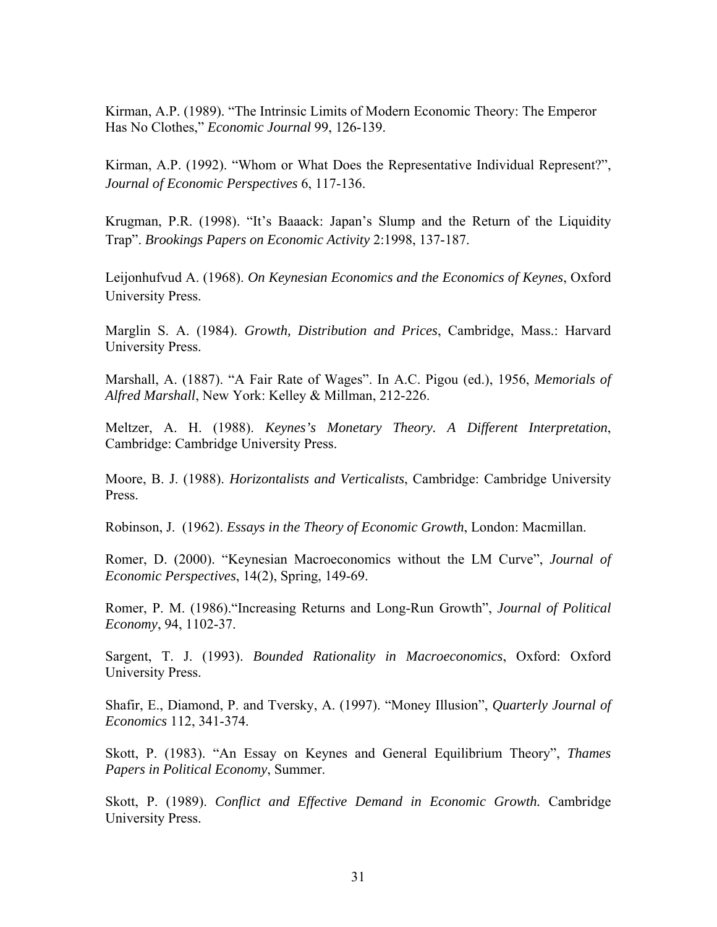Kirman, A.P. (1989). "The Intrinsic Limits of Modern Economic Theory: The Emperor Has No Clothes," *Economic Journal* 99, 126-139.

Kirman, A.P. (1992). "Whom or What Does the Representative Individual Represent?", *Journal of Economic Perspectives* 6, 117-136.

Krugman, P.R. (1998). "It's Baaack: Japan's Slump and the Return of the Liquidity Trap". *Brookings Papers on Economic Activity* 2:1998, 137-187.

Leijonhufvud A. (1968). *On Keynesian Economics and the Economics of Keynes*, Oxford University Press.

Marglin S. A. (1984). *Growth, Distribution and Prices*, Cambridge, Mass.: Harvard University Press.

Marshall, A. (1887). "A Fair Rate of Wages". In A.C. Pigou (ed.), 1956, *Memorials of Alfred Marshall*, New York: Kelley & Millman, 212-226.

Meltzer, A. H. (1988). *Keynes's Monetary Theory. A Different Interpretation*, Cambridge: Cambridge University Press.

Moore, B. J. (1988). *Horizontalists and Verticalists*, Cambridge: Cambridge University Press.

Robinson, J. (1962). *Essays in the Theory of Economic Growth*, London: Macmillan.

Romer, D. (2000). "Keynesian Macroeconomics without the LM Curve", *Journal of Economic Perspectives*, 14(2), Spring, 149-69.

Romer, P. M. (1986)."Increasing Returns and Long-Run Growth", *Journal of Political Economy*, 94, 1102-37.

Sargent, T. J. (1993). *Bounded Rationality in Macroeconomics*, Oxford: Oxford University Press.

Shafir, E., Diamond, P. and Tversky, A. (1997). "Money Illusion", *Quarterly Journal of Economics* 112, 341-374.

Skott, P. (1983). "An Essay on Keynes and General Equilibrium Theory", *Thames Papers in Political Economy*, Summer.

Skott, P. (1989). *Conflict and Effective Demand in Economic Growth.* Cambridge University Press.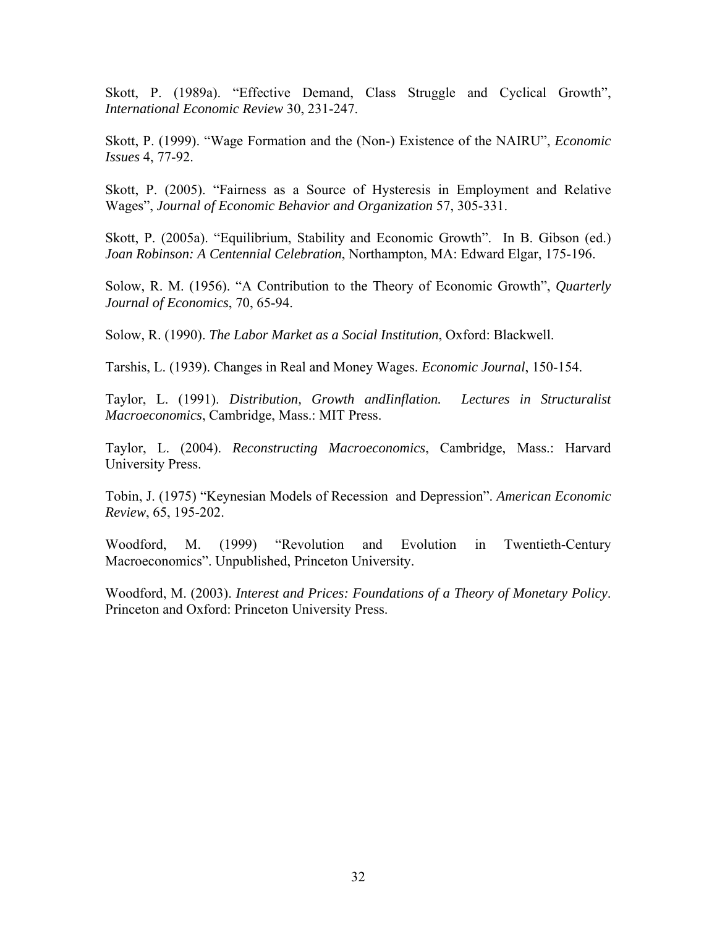Skott, P. (1989a). "Effective Demand, Class Struggle and Cyclical Growth", *International Economic Review* 30, 231-247.

Skott, P. (1999). "Wage Formation and the (Non-) Existence of the NAIRU", *Economic Issues* 4, 77-92.

Skott, P. (2005). "Fairness as a Source of Hysteresis in Employment and Relative Wages", *Journal of Economic Behavior and Organization* 57, 305-331.

Skott, P. (2005a). "Equilibrium, Stability and Economic Growth". In B. Gibson (ed.) *Joan Robinson: A Centennial Celebration*, Northampton, MA: Edward Elgar, 175-196.

Solow, R. M. (1956). "A Contribution to the Theory of Economic Growth", *Quarterly Journal of Economics*, 70, 65-94.

Solow, R. (1990). *The Labor Market as a Social Institution*, Oxford: Blackwell.

Tarshis, L. (1939). Changes in Real and Money Wages. *Economic Journal*, 150-154.

Taylor, L. (1991). *Distribution, Growth andIinflation. Lectures in Structuralist Macroeconomics*, Cambridge, Mass.: MIT Press.

Taylor, L. (2004). *Reconstructing Macroeconomics*, Cambridge, Mass.: Harvard University Press.

Tobin, J. (1975) "Keynesian Models of Recession and Depression". *American Economic Review*, 65, 195-202.

Woodford, M. (1999) "Revolution and Evolution in Twentieth-Century Macroeconomics". Unpublished, Princeton University.

Woodford, M. (2003). *Interest and Prices: Foundations of a Theory of Monetary Policy*. Princeton and Oxford: Princeton University Press.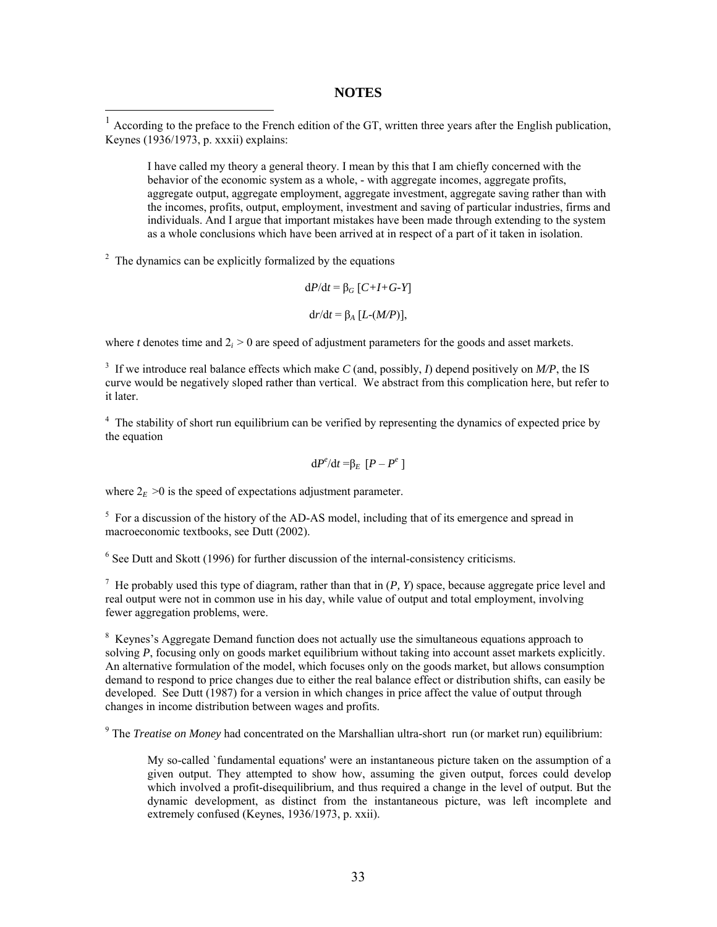#### **NOTES**

<sup>1</sup> According to the preface to the French edition of the GT, written three years after the English publication, Keynes (1936/1973, p. xxxii) explains:

I have called my theory a general theory. I mean by this that I am chiefly concerned with the behavior of the economic system as a whole, - with aggregate incomes, aggregate profits, aggregate output, aggregate employment, aggregate investment, aggregate saving rather than with the incomes, profits, output, employment, investment and saving of particular industries, firms and individuals. And I argue that important mistakes have been made through extending to the system as a whole conclusions which have been arrived at in respect of a part of it taken in isolation.

 $2<sup>2</sup>$  The dynamics can be explicitly formalized by the equations

1

$$
dP/dt = \beta_G [C+I+G-Y]
$$

$$
dr/dt = \beta_A [L-(M/P)],
$$

where *t* denotes time and  $2<sub>i</sub> > 0$  are speed of adjustment parameters for the goods and asset markets.

3 If we introduce real balance effects which make *C* (and, possibly, *I*) depend positively on *M/P*, the IS curve would be negatively sloped rather than vertical. We abstract from this complication here, but refer to it later.

<sup>4</sup> The stability of short run equilibrium can be verified by representing the dynamics of expected price by the equation

$$
\mathrm{d}P^e/\mathrm{d}t = \beta_E [P - P^e]
$$

where  $2_E > 0$  is the speed of expectations adjustment parameter.

<sup>5</sup> For a discussion of the history of the AD-AS model, including that of its emergence and spread in macroeconomic textbooks, see Dutt (2002).

<sup>6</sup> See Dutt and Skott (1996) for further discussion of the internal-consistency criticisms.

<sup>7</sup> He probably used this type of diagram, rather than that in  $(P, Y)$  space, because aggregate price level and real output were not in common use in his day, while value of output and total employment, involving fewer aggregation problems, were.

<sup>8</sup> Keynes's Aggregate Demand function does not actually use the simultaneous equations approach to solving *P*, focusing only on goods market equilibrium without taking into account asset markets explicitly. An alternative formulation of the model, which focuses only on the goods market, but allows consumption demand to respond to price changes due to either the real balance effect or distribution shifts, can easily be developed. See Dutt (1987) for a version in which changes in price affect the value of output through changes in income distribution between wages and profits.

<sup>9</sup> The *Treatise on Money* had concentrated on the Marshallian ultra-short run (or market run) equilibrium:

My so-called `fundamental equations' were an instantaneous picture taken on the assumption of a given output. They attempted to show how, assuming the given output, forces could develop which involved a profit-disequilibrium, and thus required a change in the level of output. But the dynamic development, as distinct from the instantaneous picture, was left incomplete and extremely confused (Keynes, 1936/1973, p. xxii).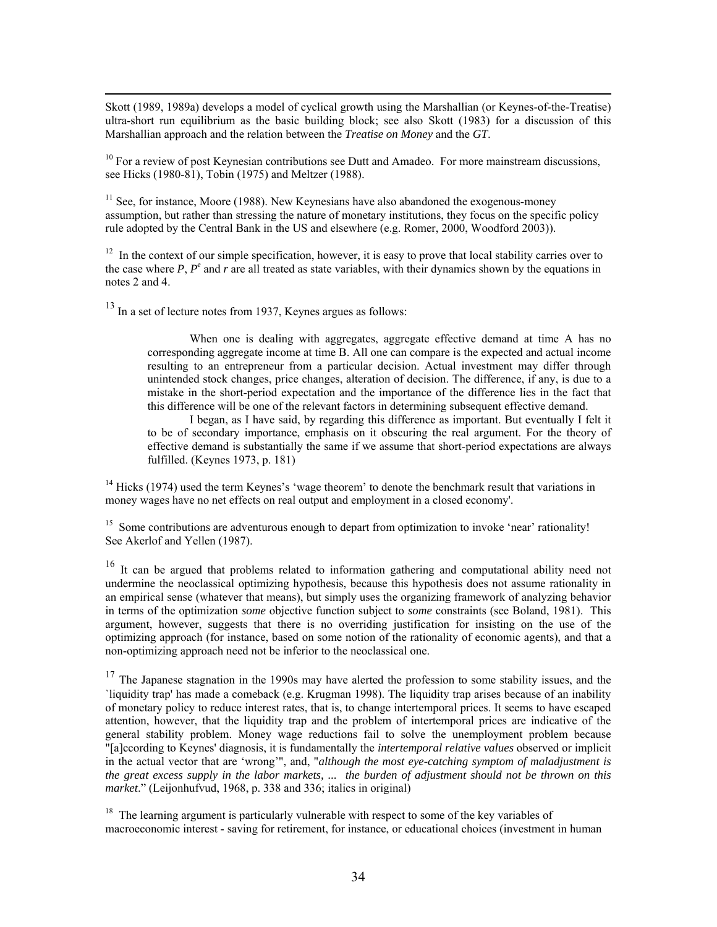Skott (1989, 1989a) develops a model of cyclical growth using the Marshallian (or Keynes-of-the-Treatise) ultra-short run equilibrium as the basic building block; see also Skott (1983) for a discussion of this Marshallian approach and the relation between the *Treatise on Money* and the *GT*.

 $10$  For a review of post Keynesian contributions see Dutt and Amadeo. For more mainstream discussions, see Hicks (1980-81), Tobin (1975) and Meltzer (1988).

 $11$  See, for instance, Moore (1988). New Keynesians have also abandoned the exogenous-money assumption, but rather than stressing the nature of monetary institutions, they focus on the specific policy rule adopted by the Central Bank in the US and elsewhere (e.g. Romer, 2000, Woodford 2003)).

<sup>12</sup> In the context of our simple specification, however, it is easy to prove that local stability carries over to the case where *P*, *Pe* and *r* are all treated as state variables, with their dynamics shown by the equations in notes 2 and 4.

<sup>13</sup> In a set of lecture notes from 1937, Keynes argues as follows:

When one is dealing with aggregates, aggregate effective demand at time A has no corresponding aggregate income at time B. All one can compare is the expected and actual income resulting to an entrepreneur from a particular decision. Actual investment may differ through unintended stock changes, price changes, alteration of decision. The difference, if any, is due to a mistake in the short-period expectation and the importance of the difference lies in the fact that this difference will be one of the relevant factors in determining subsequent effective demand.

I began, as I have said, by regarding this difference as important. But eventually I felt it to be of secondary importance, emphasis on it obscuring the real argument. For the theory of effective demand is substantially the same if we assume that short-period expectations are always fulfilled. (Keynes 1973, p. 181)

 $14$  Hicks (1974) used the term Keynes's 'wage theorem' to denote the benchmark result that variations in money wages have no net effects on real output and employment in a closed economy'.

<sup>15</sup> Some contributions are adventurous enough to depart from optimization to invoke 'near' rationality! See Akerlof and Yellen (1987).

<sup>16</sup> It can be argued that problems related to information gathering and computational ability need not undermine the neoclassical optimizing hypothesis, because this hypothesis does not assume rationality in an empirical sense (whatever that means), but simply uses the organizing framework of analyzing behavior in terms of the optimization *some* objective function subject to *some* constraints (see Boland, 1981). This argument, however, suggests that there is no overriding justification for insisting on the use of the optimizing approach (for instance, based on some notion of the rationality of economic agents), and that a non-optimizing approach need not be inferior to the neoclassical one.

 $17$  The Japanese stagnation in the 1990s may have alerted the profession to some stability issues, and the `liquidity trap' has made a comeback (e.g. Krugman 1998). The liquidity trap arises because of an inability of monetary policy to reduce interest rates, that is, to change intertemporal prices. It seems to have escaped attention, however, that the liquidity trap and the problem of intertemporal prices are indicative of the general stability problem. Money wage reductions fail to solve the unemployment problem because "[a]ccording to Keynes' diagnosis, it is fundamentally the *intertemporal relative values* observed or implicit in the actual vector that are 'wrong'", and, "*although the most eye-catching symptom of maladjustment is the great excess supply in the labor markets, ... the burden of adjustment should not be thrown on this market*." (Leijonhufvud, 1968, p. 338 and 336; italics in original)

<sup>18</sup> The learning argument is particularly vulnerable with respect to some of the key variables of macroeconomic interest - saving for retirement, for instance, or educational choices (investment in human